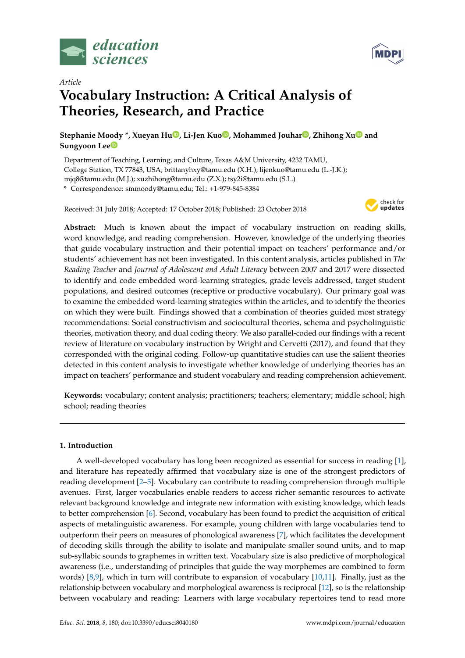

*Article*



# **Vocabulary Instruction: A Critical Analysis of Theories, Research, and Practice**

# **Stephanie Moody \*, Xueyan Hu [,](https://orcid.org/0000-0001-6867-2071) Li-Jen Ku[o](https://orcid.org/0000-0001-5141-9686) , Mohammed Jouhar [,](https://orcid.org/0000-0002-1567-4425) Zhihong X[u](https://orcid.org/0000-0002-4769-5597) and Sungyoon Le[e](https://orcid.org/0000-0002-3326-1966)**

Department of Teaching, Learning, and Culture, Texas A&M University, 4232 TAMU, College Station, TX 77843, USA; brittanyhxy@tamu.edu (X.H.); lijenkuo@tamu.edu (L.-J.K.); mjq8@tamu.edu (M.J.); xuzhihong@tamu.edu (Z.X.); tsy2i@tamu.edu (S.L.)

**\*** Correspondence: smmoody@tamu.edu; Tel.: +1-979-845-8384

Received: 31 July 2018; Accepted: 17 October 2018; Published: 23 October 2018



**Abstract:** Much is known about the impact of vocabulary instruction on reading skills, word knowledge, and reading comprehension. However, knowledge of the underlying theories that guide vocabulary instruction and their potential impact on teachers' performance and/or students' achievement has not been investigated. In this content analysis, articles published in *The Reading Teacher* and *Journal of Adolescent and Adult Literacy* between 2007 and 2017 were dissected to identify and code embedded word-learning strategies, grade levels addressed, target student populations, and desired outcomes (receptive or productive vocabulary). Our primary goal was to examine the embedded word-learning strategies within the articles, and to identify the theories on which they were built. Findings showed that a combination of theories guided most strategy recommendations: Social constructivism and sociocultural theories, schema and psycholinguistic theories, motivation theory, and dual coding theory. We also parallel-coded our findings with a recent review of literature on vocabulary instruction by Wright and Cervetti (2017), and found that they corresponded with the original coding. Follow-up quantitative studies can use the salient theories detected in this content analysis to investigate whether knowledge of underlying theories has an impact on teachers' performance and student vocabulary and reading comprehension achievement.

**Keywords:** vocabulary; content analysis; practitioners; teachers; elementary; middle school; high school; reading theories

# **1. Introduction**

A well-developed vocabulary has long been recognized as essential for success in reading [\[1\]](#page-15-0), and literature has repeatedly affirmed that vocabulary size is one of the strongest predictors of reading development [\[2–](#page-15-1)[5\]](#page-15-2). Vocabulary can contribute to reading comprehension through multiple avenues. First, larger vocabularies enable readers to access richer semantic resources to activate relevant background knowledge and integrate new information with existing knowledge, which leads to better comprehension [\[6\]](#page-15-3). Second, vocabulary has been found to predict the acquisition of critical aspects of metalinguistic awareness. For example, young children with large vocabularies tend to outperform their peers on measures of phonological awareness [\[7\]](#page-15-4), which facilitates the development of decoding skills through the ability to isolate and manipulate smaller sound units, and to map sub-syllabic sounds to graphemes in written text. Vocabulary size is also predictive of morphological awareness (i.e., understanding of principles that guide the way morphemes are combined to form words) [\[8](#page-15-5)[,9\]](#page-15-6), which in turn will contribute to expansion of vocabulary [\[10,](#page-15-7)[11\]](#page-15-8). Finally, just as the relationship between vocabulary and morphological awareness is reciprocal [\[12\]](#page-15-9), so is the relationship between vocabulary and reading: Learners with large vocabulary repertoires tend to read more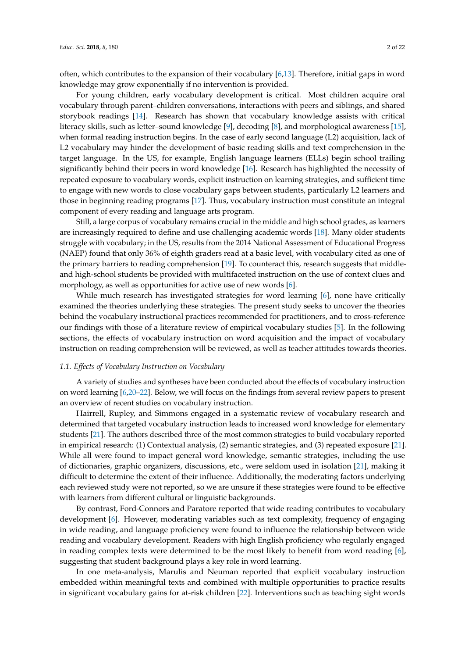often, which contributes to the expansion of their vocabulary [\[6](#page-15-3)[,13\]](#page-15-10). Therefore, initial gaps in word knowledge may grow exponentially if no intervention is provided.

For young children, early vocabulary development is critical. Most children acquire oral vocabulary through parent–children conversations, interactions with peers and siblings, and shared storybook readings [\[14\]](#page-15-11). Research has shown that vocabulary knowledge assists with critical literacy skills, such as letter–sound knowledge [\[9\]](#page-15-6), decoding [\[8\]](#page-15-5), and morphological awareness [\[15\]](#page-15-12), when formal reading instruction begins. In the case of early second language (L2) acquisition, lack of L2 vocabulary may hinder the development of basic reading skills and text comprehension in the target language. In the US, for example, English language learners (ELLs) begin school trailing significantly behind their peers in word knowledge [\[16\]](#page-15-13). Research has highlighted the necessity of repeated exposure to vocabulary words, explicit instruction on learning strategies, and sufficient time to engage with new words to close vocabulary gaps between students, particularly L2 learners and those in beginning reading programs [\[17\]](#page-15-14). Thus, vocabulary instruction must constitute an integral component of every reading and language arts program.

Still, a large corpus of vocabulary remains crucial in the middle and high school grades, as learners are increasingly required to define and use challenging academic words [\[18\]](#page-16-0). Many older students struggle with vocabulary; in the US, results from the 2014 National Assessment of Educational Progress (NAEP) found that only 36% of eighth graders read at a basic level, with vocabulary cited as one of the primary barriers to reading comprehension [\[19\]](#page-16-1). To counteract this, research suggests that middleand high-school students be provided with multifaceted instruction on the use of context clues and morphology, as well as opportunities for active use of new words [\[6\]](#page-15-3).

While much research has investigated strategies for word learning [\[6\]](#page-15-3), none have critically examined the theories underlying these strategies. The present study seeks to uncover the theories behind the vocabulary instructional practices recommended for practitioners, and to cross-reference our findings with those of a literature review of empirical vocabulary studies [\[5\]](#page-15-2). In the following sections, the effects of vocabulary instruction on word acquisition and the impact of vocabulary instruction on reading comprehension will be reviewed, as well as teacher attitudes towards theories.

#### *1.1. Effects of Vocabulary Instruction on Vocabulary*

A variety of studies and syntheses have been conducted about the effects of vocabulary instruction on word learning [\[6](#page-15-3)[,20](#page-16-2)[–22\]](#page-16-3). Below, we will focus on the findings from several review papers to present an overview of recent studies on vocabulary instruction.

Hairrell, Rupley, and Simmons engaged in a systematic review of vocabulary research and determined that targeted vocabulary instruction leads to increased word knowledge for elementary students [\[21\]](#page-16-4). The authors described three of the most common strategies to build vocabulary reported in empirical research: (1) Contextual analysis, (2) semantic strategies, and (3) repeated exposure [\[21\]](#page-16-4). While all were found to impact general word knowledge, semantic strategies, including the use of dictionaries, graphic organizers, discussions, etc., were seldom used in isolation [\[21\]](#page-16-4), making it difficult to determine the extent of their influence. Additionally, the moderating factors underlying each reviewed study were not reported, so we are unsure if these strategies were found to be effective with learners from different cultural or linguistic backgrounds.

By contrast, Ford-Connors and Paratore reported that wide reading contributes to vocabulary development [\[6\]](#page-15-3). However, moderating variables such as text complexity, frequency of engaging in wide reading, and language proficiency were found to influence the relationship between wide reading and vocabulary development. Readers with high English proficiency who regularly engaged in reading complex texts were determined to be the most likely to benefit from word reading [\[6\]](#page-15-3), suggesting that student background plays a key role in word learning.

In one meta-analysis, Marulis and Neuman reported that explicit vocabulary instruction embedded within meaningful texts and combined with multiple opportunities to practice results in significant vocabulary gains for at-risk children [\[22\]](#page-16-3). Interventions such as teaching sight words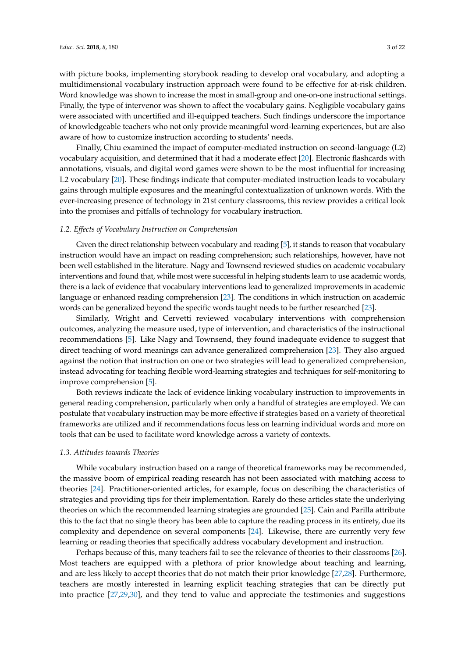with picture books, implementing storybook reading to develop oral vocabulary, and adopting a multidimensional vocabulary instruction approach were found to be effective for at-risk children. Word knowledge was shown to increase the most in small-group and one-on-one instructional settings. Finally, the type of intervenor was shown to affect the vocabulary gains. Negligible vocabulary gains were associated with uncertified and ill-equipped teachers. Such findings underscore the importance of knowledgeable teachers who not only provide meaningful word-learning experiences, but are also aware of how to customize instruction according to students' needs.

Finally, Chiu examined the impact of computer-mediated instruction on second-language (L2) vocabulary acquisition, and determined that it had a moderate effect [\[20\]](#page-16-2). Electronic flashcards with annotations, visuals, and digital word games were shown to be the most influential for increasing L2 vocabulary [\[20\]](#page-16-2). These findings indicate that computer-mediated instruction leads to vocabulary gains through multiple exposures and the meaningful contextualization of unknown words. With the ever-increasing presence of technology in 21st century classrooms, this review provides a critical look into the promises and pitfalls of technology for vocabulary instruction.

#### *1.2. Effects of Vocabulary Instruction on Comprehension*

Given the direct relationship between vocabulary and reading [\[5\]](#page-15-2), it stands to reason that vocabulary instruction would have an impact on reading comprehension; such relationships, however, have not been well established in the literature. Nagy and Townsend reviewed studies on academic vocabulary interventions and found that, while most were successful in helping students learn to use academic words, there is a lack of evidence that vocabulary interventions lead to generalized improvements in academic language or enhanced reading comprehension [\[23\]](#page-16-5). The conditions in which instruction on academic words can be generalized beyond the specific words taught needs to be further researched [\[23\]](#page-16-5).

Similarly, Wright and Cervetti reviewed vocabulary interventions with comprehension outcomes, analyzing the measure used, type of intervention, and characteristics of the instructional recommendations [\[5\]](#page-15-2). Like Nagy and Townsend, they found inadequate evidence to suggest that direct teaching of word meanings can advance generalized comprehension [\[23\]](#page-16-5). They also argued against the notion that instruction on one or two strategies will lead to generalized comprehension, instead advocating for teaching flexible word-learning strategies and techniques for self-monitoring to improve comprehension [\[5\]](#page-15-2).

Both reviews indicate the lack of evidence linking vocabulary instruction to improvements in general reading comprehension, particularly when only a handful of strategies are employed. We can postulate that vocabulary instruction may be more effective if strategies based on a variety of theoretical frameworks are utilized and if recommendations focus less on learning individual words and more on tools that can be used to facilitate word knowledge across a variety of contexts.

#### *1.3. Attitudes towards Theories*

While vocabulary instruction based on a range of theoretical frameworks may be recommended, the massive boom of empirical reading research has not been associated with matching access to theories [\[24\]](#page-16-6). Practitioner-oriented articles, for example, focus on describing the characteristics of strategies and providing tips for their implementation. Rarely do these articles state the underlying theories on which the recommended learning strategies are grounded [\[25\]](#page-16-7). Cain and Parilla attribute this to the fact that no single theory has been able to capture the reading process in its entirety, due its complexity and dependence on several components [\[24\]](#page-16-6). Likewise, there are currently very few learning or reading theories that specifically address vocabulary development and instruction.

Perhaps because of this, many teachers fail to see the relevance of theories to their classrooms [\[26\]](#page-16-8). Most teachers are equipped with a plethora of prior knowledge about teaching and learning, and are less likely to accept theories that do not match their prior knowledge [\[27](#page-16-9)[,28\]](#page-16-10). Furthermore, teachers are mostly interested in learning explicit teaching strategies that can be directly put into practice [\[27](#page-16-9)[,29](#page-16-11)[,30\]](#page-16-12), and they tend to value and appreciate the testimonies and suggestions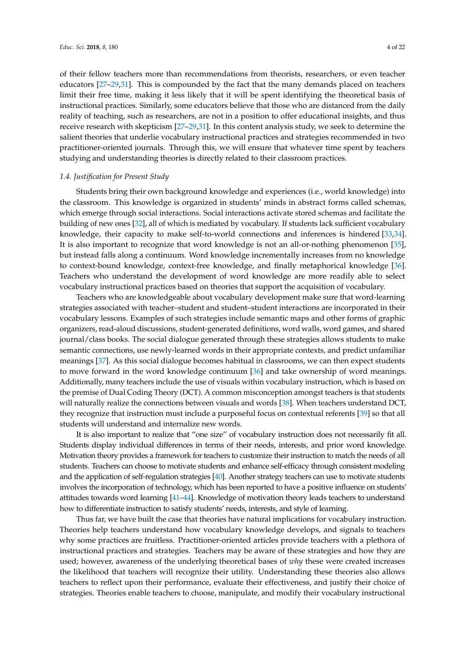of their fellow teachers more than recommendations from theorists, researchers, or even teacher educators [\[27](#page-16-9)[–29,](#page-16-11)[31\]](#page-16-13). This is compounded by the fact that the many demands placed on teachers limit their free time, making it less likely that it will be spent identifying the theoretical basis of instructional practices. Similarly, some educators believe that those who are distanced from the daily reality of teaching, such as researchers, are not in a position to offer educational insights, and thus receive research with skepticism [\[27–](#page-16-9)[29,](#page-16-11)[31\]](#page-16-13). In this content analysis study, we seek to determine the salient theories that underlie vocabulary instructional practices and strategies recommended in two practitioner-oriented journals. Through this, we will ensure that whatever time spent by teachers studying and understanding theories is directly related to their classroom practices.

#### *1.4. Justification for Present Study*

Students bring their own background knowledge and experiences (i.e., world knowledge) into the classroom. This knowledge is organized in students' minds in abstract forms called schemas, which emerge through social interactions. Social interactions activate stored schemas and facilitate the building of new ones [\[32\]](#page-16-14), all of which is mediated by vocabulary. If students lack sufficient vocabulary knowledge, their capacity to make self-to-world connections and inferences is hindered [\[33,](#page-16-15)[34\]](#page-16-16). It is also important to recognize that word knowledge is not an all-or-nothing phenomenon [\[35\]](#page-16-17), but instead falls along a continuum. Word knowledge incrementally increases from no knowledge to context-bound knowledge, context-free knowledge, and finally metaphorical knowledge [\[36\]](#page-16-18). Teachers who understand the development of word knowledge are more readily able to select vocabulary instructional practices based on theories that support the acquisition of vocabulary.

Teachers who are knowledgeable about vocabulary development make sure that word-learning strategies associated with teacher–student and student–student interactions are incorporated in their vocabulary lessons. Examples of such strategies include semantic maps and other forms of graphic organizers, read-aloud discussions, student-generated definitions, word walls, word games, and shared journal/class books. The social dialogue generated through these strategies allows students to make semantic connections, use newly-learned words in their appropriate contexts, and predict unfamiliar meanings [\[37\]](#page-16-19). As this social dialogue becomes habitual in classrooms, we can then expect students to move forward in the word knowledge continuum [\[36\]](#page-16-18) and take ownership of word meanings. Additionally, many teachers include the use of visuals within vocabulary instruction, which is based on the premise of Dual Coding Theory (DCT). A common misconception amongst teachers is that students will naturally realize the connections between visuals and words [\[38\]](#page-16-20). When teachers understand DCT, they recognize that instruction must include a purposeful focus on contextual referents [\[39\]](#page-16-21) so that all students will understand and internalize new words.

It is also important to realize that "one size" of vocabulary instruction does not necessarily fit all. Students display individual differences in terms of their needs, interests, and prior word knowledge. Motivation theory provides a framework for teachers to customize their instruction to match the needs of all students. Teachers can choose to motivate students and enhance self-efficacy through consistent modeling and the application of self-regulation strategies [\[40\]](#page-16-22). Another strategy teachers can use to motivate students involves the incorporation of technology, which has been reported to have a positive influence on students' attitudes towards word learning [\[41](#page-16-23)[–44\]](#page-17-0). Knowledge of motivation theory leads teachers to understand how to differentiate instruction to satisfy students' needs, interests, and style of learning.

Thus far, we have built the case that theories have natural implications for vocabulary instruction. Theories help teachers understand how vocabulary knowledge develops, and signals to teachers why some practices are fruitless. Practitioner-oriented articles provide teachers with a plethora of instructional practices and strategies. Teachers may be aware of these strategies and how they are used; however, awareness of the underlying theoretical bases of *why* these were created increases the likelihood that teachers will recognize their utility. Understanding these theories also allows teachers to reflect upon their performance, evaluate their effectiveness, and justify their choice of strategies. Theories enable teachers to choose, manipulate, and modify their vocabulary instructional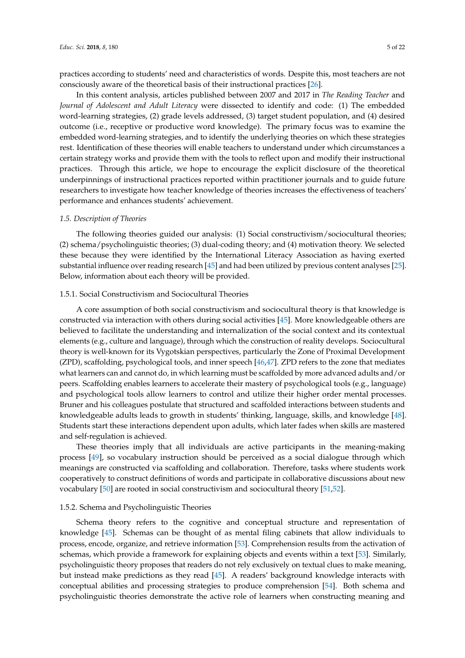practices according to students' need and characteristics of words. Despite this, most teachers are not consciously aware of the theoretical basis of their instructional practices [\[26\]](#page-16-8).

In this content analysis, articles published between 2007 and 2017 in *The Reading Teacher* and *Journal of Adolescent and Adult Literacy* were dissected to identify and code: (1) The embedded word-learning strategies, (2) grade levels addressed, (3) target student population, and (4) desired outcome (i.e., receptive or productive word knowledge). The primary focus was to examine the embedded word-learning strategies, and to identify the underlying theories on which these strategies rest. Identification of these theories will enable teachers to understand under which circumstances a certain strategy works and provide them with the tools to reflect upon and modify their instructional practices. Through this article, we hope to encourage the explicit disclosure of the theoretical underpinnings of instructional practices reported within practitioner journals and to guide future researchers to investigate how teacher knowledge of theories increases the effectiveness of teachers' performance and enhances students' achievement.

## *1.5. Description of Theories*

The following theories guided our analysis: (1) Social constructivism/sociocultural theories; (2) schema/psycholinguistic theories; (3) dual-coding theory; and (4) motivation theory. We selected these because they were identified by the International Literacy Association as having exerted substantial influence over reading research [\[45\]](#page-17-1) and had been utilized by previous content analyses [\[25\]](#page-16-7). Below, information about each theory will be provided.

## 1.5.1. Social Constructivism and Sociocultural Theories

A core assumption of both social constructivism and sociocultural theory is that knowledge is constructed via interaction with others during social activities [\[45\]](#page-17-1). More knowledgeable others are believed to facilitate the understanding and internalization of the social context and its contextual elements (e.g., culture and language), through which the construction of reality develops. Sociocultural theory is well-known for its Vygotskian perspectives, particularly the Zone of Proximal Development (ZPD), scaffolding, psychological tools, and inner speech [\[46](#page-17-2)[,47\]](#page-17-3). ZPD refers to the zone that mediates what learners can and cannot do, in which learning must be scaffolded by more advanced adults and/or peers. Scaffolding enables learners to accelerate their mastery of psychological tools (e.g., language) and psychological tools allow learners to control and utilize their higher order mental processes. Bruner and his colleagues postulate that structured and scaffolded interactions between students and knowledgeable adults leads to growth in students' thinking, language, skills, and knowledge [\[48\]](#page-17-4). Students start these interactions dependent upon adults, which later fades when skills are mastered and self-regulation is achieved.

These theories imply that all individuals are active participants in the meaning-making process [\[49\]](#page-17-5), so vocabulary instruction should be perceived as a social dialogue through which meanings are constructed via scaffolding and collaboration. Therefore, tasks where students work cooperatively to construct definitions of words and participate in collaborative discussions about new vocabulary [\[50\]](#page-17-6) are rooted in social constructivism and sociocultural theory [\[51,](#page-17-7)[52\]](#page-17-8).

## 1.5.2. Schema and Psycholinguistic Theories

Schema theory refers to the cognitive and conceptual structure and representation of knowledge [\[45\]](#page-17-1). Schemas can be thought of as mental filing cabinets that allow individuals to process, encode, organize, and retrieve information [\[53\]](#page-17-9). Comprehension results from the activation of schemas, which provide a framework for explaining objects and events within a text [\[53\]](#page-17-9). Similarly, psycholinguistic theory proposes that readers do not rely exclusively on textual clues to make meaning, but instead make predictions as they read [\[45\]](#page-17-1). A readers' background knowledge interacts with conceptual abilities and processing strategies to produce comprehension [\[54\]](#page-17-10). Both schema and psycholinguistic theories demonstrate the active role of learners when constructing meaning and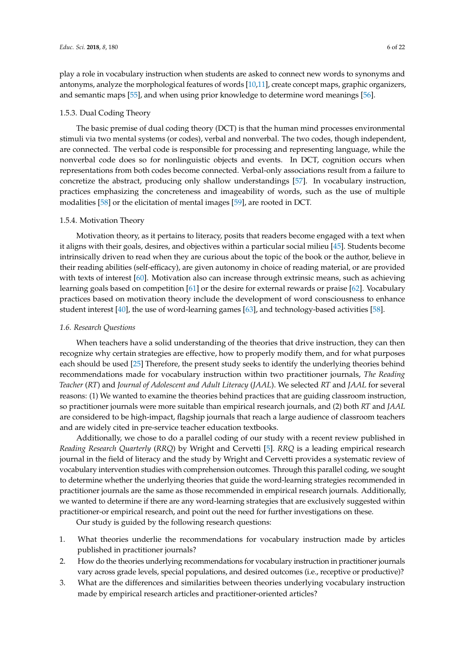play a role in vocabulary instruction when students are asked to connect new words to synonyms and antonyms, analyze the morphological features of words [\[10,](#page-15-7)[11\]](#page-15-8), create concept maps, graphic organizers, and semantic maps [\[55\]](#page-17-11), and when using prior knowledge to determine word meanings [\[56\]](#page-17-12).

# 1.5.3. Dual Coding Theory

The basic premise of dual coding theory (DCT) is that the human mind processes environmental stimuli via two mental systems (or codes), verbal and nonverbal. The two codes, though independent, are connected. The verbal code is responsible for processing and representing language, while the nonverbal code does so for nonlinguistic objects and events. In DCT, cognition occurs when representations from both codes become connected. Verbal-only associations result from a failure to concretize the abstract, producing only shallow understandings [\[57\]](#page-17-13). In vocabulary instruction, practices emphasizing the concreteness and imageability of words, such as the use of multiple modalities [\[58\]](#page-17-14) or the elicitation of mental images [\[59\]](#page-17-15), are rooted in DCT.

# 1.5.4. Motivation Theory

Motivation theory, as it pertains to literacy, posits that readers become engaged with a text when it aligns with their goals, desires, and objectives within a particular social milieu [\[45\]](#page-17-1). Students become intrinsically driven to read when they are curious about the topic of the book or the author, believe in their reading abilities (self-efficacy), are given autonomy in choice of reading material, or are provided with texts of interest [\[60\]](#page-17-16). Motivation also can increase through extrinsic means, such as achieving learning goals based on competition [\[61\]](#page-17-17) or the desire for external rewards or praise [\[62\]](#page-17-18). Vocabulary practices based on motivation theory include the development of word consciousness to enhance student interest [\[40\]](#page-16-22), the use of word-learning games [\[63\]](#page-17-19), and technology-based activities [\[58\]](#page-17-14).

# *1.6. Research Questions*

When teachers have a solid understanding of the theories that drive instruction, they can then recognize why certain strategies are effective, how to properly modify them, and for what purposes each should be used [\[25\]](#page-16-7) Therefore, the present study seeks to identify the underlying theories behind recommendations made for vocabulary instruction within two practitioner journals, *The Reading Teacher* (*RT*) and *Journal of Adolescent and Adult Literacy* (*JAAL*). We selected *RT* and *JAAL* for several reasons: (1) We wanted to examine the theories behind practices that are guiding classroom instruction, so practitioner journals were more suitable than empirical research journals, and (2) both *RT* and *JAAL* are considered to be high-impact, flagship journals that reach a large audience of classroom teachers and are widely cited in pre-service teacher education textbooks.

Additionally, we chose to do a parallel coding of our study with a recent review published in *Reading Research Quarterly* (*RRQ*) by Wright and Cervetti [\[5\]](#page-15-2). *RRQ* is a leading empirical research journal in the field of literacy and the study by Wright and Cervetti provides a systematic review of vocabulary intervention studies with comprehension outcomes. Through this parallel coding, we sought to determine whether the underlying theories that guide the word-learning strategies recommended in practitioner journals are the same as those recommended in empirical research journals. Additionally, we wanted to determine if there are any word-learning strategies that are exclusively suggested within practitioner-or empirical research, and point out the need for further investigations on these.

Our study is guided by the following research questions:

- 1. What theories underlie the recommendations for vocabulary instruction made by articles published in practitioner journals?
- 2. How do the theories underlying recommendations for vocabulary instruction in practitioner journals vary across grade levels, special populations, and desired outcomes (i.e., receptive or productive)?
- 3. What are the differences and similarities between theories underlying vocabulary instruction made by empirical research articles and practitioner-oriented articles?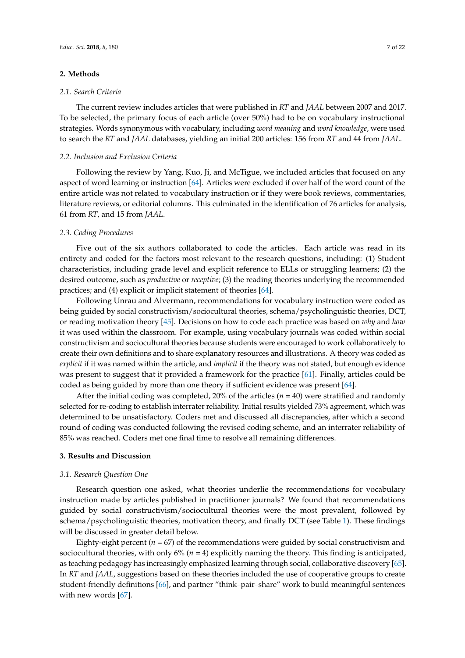## **2. Methods**

## *2.1. Search Criteria*

The current review includes articles that were published in *RT* and *JAAL* between 2007 and 2017. To be selected, the primary focus of each article (over 50%) had to be on vocabulary instructional strategies. Words synonymous with vocabulary, including *word meaning* and *word knowledge*, were used to search the *RT* and *JAAL* databases, yielding an initial 200 articles: 156 from *RT* and 44 from *JAAL*.

## *2.2. Inclusion and Exclusion Criteria*

Following the review by Yang, Kuo, Ji, and McTigue, we included articles that focused on any aspect of word learning or instruction [\[64\]](#page-17-20). Articles were excluded if over half of the word count of the entire article was not related to vocabulary instruction or if they were book reviews, commentaries, literature reviews, or editorial columns. This culminated in the identification of 76 articles for analysis, 61 from *RT*, and 15 from *JAAL*.

## *2.3. Coding Procedures*

Five out of the six authors collaborated to code the articles. Each article was read in its entirety and coded for the factors most relevant to the research questions, including: (1) Student characteristics, including grade level and explicit reference to ELLs or struggling learners; (2) the desired outcome, such as *productive* or *receptive*; (3) the reading theories underlying the recommended practices; and (4) explicit or implicit statement of theories [\[64\]](#page-17-20).

Following Unrau and Alvermann, recommendations for vocabulary instruction were coded as being guided by social constructivism/sociocultural theories, schema/psycholinguistic theories, DCT, or reading motivation theory [\[45\]](#page-17-1). Decisions on how to code each practice was based on *why* and *how* it was used within the classroom. For example, using vocabulary journals was coded within social constructivism and sociocultural theories because students were encouraged to work collaboratively to create their own definitions and to share explanatory resources and illustrations. A theory was coded as *explicit* if it was named within the article, and *implicit* if the theory was not stated, but enough evidence was present to suggest that it provided a framework for the practice [\[61\]](#page-17-17). Finally, articles could be coded as being guided by more than one theory if sufficient evidence was present [\[64\]](#page-17-20).

After the initial coding was completed, 20% of the articles ( $n = 40$ ) were stratified and randomly selected for re-coding to establish interrater reliability. Initial results yielded 73% agreement, which was determined to be unsatisfactory. Coders met and discussed all discrepancies, after which a second round of coding was conducted following the revised coding scheme, and an interrater reliability of 85% was reached. Coders met one final time to resolve all remaining differences.

# **3. Results and Discussion**

#### *3.1. Research Question One*

Research question one asked, what theories underlie the recommendations for vocabulary instruction made by articles published in practitioner journals? We found that recommendations guided by social constructivism/sociocultural theories were the most prevalent, followed by schema/psycholinguistic theories, motivation theory, and finally DCT (see Table [1\)](#page-8-0). These findings will be discussed in greater detail below.

Eighty-eight percent ( $n = 67$ ) of the recommendations were guided by social constructivism and sociocultural theories, with only 6% (*n* = 4) explicitly naming the theory. This finding is anticipated, as teaching pedagogy has increasingly emphasized learning through social, collaborative discovery [\[65\]](#page-17-21). In *RT* and *JAAL*, suggestions based on these theories included the use of cooperative groups to create student-friendly definitions [\[66\]](#page-17-22), and partner "think–pair–share" work to build meaningful sentences with new words [\[67\]](#page-17-23).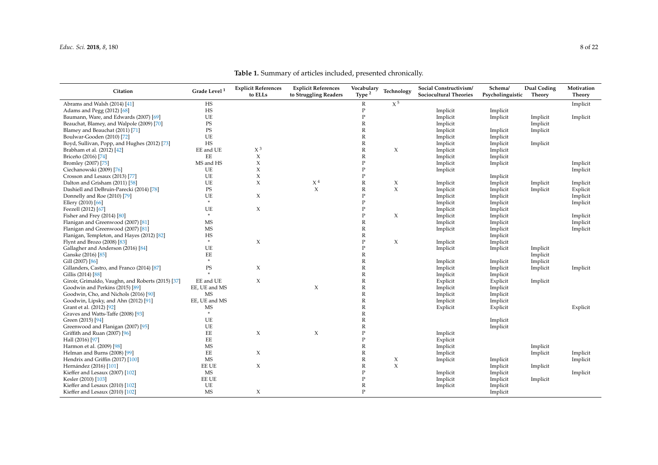| Citation                                          | Grade Level <sup>1</sup> | <b>Explicit References</b><br>to ELLs | <b>Explicit References</b><br>to Struggling Readers | Vocabulary<br>Type <sup>2</sup> | Technology          | Social Constructivism/<br><b>Sociocultural Theories</b> | Schema/<br>Psycholinguistic | <b>Dual Coding</b><br><b>Theory</b> | Motivation<br><b>Theory</b> |
|---------------------------------------------------|--------------------------|---------------------------------------|-----------------------------------------------------|---------------------------------|---------------------|---------------------------------------------------------|-----------------------------|-------------------------------------|-----------------------------|
| Abrams and Walsh (2014) [41]                      | HS                       |                                       |                                                     | $\overline{\mathrm{R}}$         | $\rm X$ $^5$        |                                                         |                             |                                     | Implicit                    |
| Adams and Pegg (2012) [68]                        | HS                       |                                       |                                                     | $\mathbf{P}$                    |                     | Implicit                                                | Implicit                    |                                     |                             |
| Baumann, Ware, and Edwards (2007) [69]            | <b>UE</b>                |                                       |                                                     | $\mathbf P$                     |                     | Implicit                                                | Implicit                    | Implicit                            | Implicit                    |
| Beauchat, Blamey, and Walpole (2009) [70]         | PS                       |                                       |                                                     | $\mathbb R$                     |                     | Implicit                                                |                             | Implicit                            |                             |
| Blamey and Beauchat (2011) [71]                   | PS                       |                                       |                                                     | $\mathbb R$                     |                     | Implicit                                                | Implicit                    | Implicit                            |                             |
| Boulwar-Gooden (2010) [72]                        | UE                       |                                       |                                                     | R                               |                     | Implicit                                                | Implicit                    |                                     |                             |
| Boyd, Sullivan, Popp, and Hughes (2012) [73]      | HS                       |                                       |                                                     | $\mathbb R$                     |                     | Implicit                                                | Implicit                    | Implicit                            |                             |
| Brabham et al. (2012) [42]                        | EE and UE                | $X^3$                                 |                                                     | $\overline{\mathrm{R}}$         | $\boldsymbol{\chi}$ | Implicit                                                | Implicit                    |                                     |                             |
| Briceño (2016) [74]                               | $\rm{EE}$                | X                                     |                                                     | $\mathbb R$                     |                     | Implicit                                                | Implicit                    |                                     |                             |
| Bromley (2007) [75]                               | MS and HS                | X                                     |                                                     | $\mathbf{P}$                    |                     | Implicit                                                | Implicit                    |                                     | Implicit                    |
| Ciechanowski (2009) [76]                          | UE                       | X                                     |                                                     | $\mathbf{P}$                    |                     | Implicit                                                |                             |                                     | Implicit                    |
| Crosson and Lesaux (2013) [77]                    | UE                       | X                                     |                                                     | $\mathbf{P}$                    |                     |                                                         | Implicit                    |                                     |                             |
| Dalton and Grisham (2011) [58]                    | UE                       | X                                     | $\rm X$ $^4$                                        | ${\mathbb R}$                   | X                   | Implicit                                                | Implicit                    | Implicit                            | Implicit                    |
| Dashiell and DeBruin-Parecki (2014) [78]          | PS                       |                                       | $\boldsymbol{\chi}$                                 | $\mathbb R$                     | X                   | Implicit                                                | Implicit                    | Implicit                            | Explicit                    |
| Donnelly and Roe (2010) [79]                      | UE                       | X                                     |                                                     | $\mathbf{P}$                    |                     | Implicit                                                | Implicit                    |                                     | Implicit                    |
| Ellery $(2010)$ [66]                              | $\star$                  |                                       |                                                     | P                               |                     | Implicit                                                | Implicit                    |                                     | Implicit                    |
| Feezell (2012) [67]                               | UE                       | $\chi$                                |                                                     | P                               |                     | Implicit                                                | Implicit                    |                                     |                             |
| Fisher and Frey (2014) [80]                       |                          |                                       |                                                     | P                               | X                   | Implicit                                                | Implicit                    |                                     | Implicit                    |
| Flanigan and Greenwood (2007) [81]                | <b>MS</b>                |                                       |                                                     | $\overline{\mathbf{R}}$         |                     | Implicit                                                | Implicit                    |                                     | Implicit                    |
| Flanigan and Greenwood (2007) [81]                | <b>MS</b>                |                                       |                                                     | $\mathbb R$                     |                     | Implicit                                                | Implicit                    |                                     | Implicit                    |
| Flanigan, Templeton, and Hayes (2012) [82]        | HS                       |                                       |                                                     | $\mathbb R$                     |                     |                                                         | Implicit                    |                                     |                             |
| Flynt and Brozo (2008) [83]                       | $\ast$                   | X                                     |                                                     | $\mathbf{P}$                    | X                   | Implicit                                                | Implicit                    |                                     |                             |
| Gallagher and Anderson (2016) [84]                | UE                       |                                       |                                                     | P                               |                     | Implicit                                                | Implicit                    | Implicit                            |                             |
| Ganske (2016) [85]                                | EE                       |                                       |                                                     | $\mathbb R$                     |                     |                                                         |                             | Implicit                            |                             |
| Gill (2007) [86]                                  | $\ast$                   |                                       |                                                     | $\overline{\mathrm{R}}$         |                     | Implicit                                                | Implicit                    | Implicit                            |                             |
| Gillanders, Castro, and Franco (2014) [87]        | PS                       | X                                     |                                                     | R                               |                     | Implicit                                                | Implicit                    | Implicit                            | Implicit                    |
| Gillis (2014) [88]                                |                          |                                       |                                                     | R                               |                     | Implicit                                                | Implicit                    |                                     |                             |
| Giroir, Grimaldo, Vaughn, and Roberts (2015) [37] | EE and UE                | $\chi$                                |                                                     | $\overline{\mathrm{R}}$         |                     | Explicit                                                | Explicit                    | Implicit                            |                             |
| Goodwin and Perkins (2015) [89]                   | EE, UE and MS            |                                       | X                                                   | $\, {\bf R}$                    |                     | Implicit                                                | Implicit                    |                                     |                             |
| Goodwin, Cho, and Nichols (2016) [90]             | <b>MS</b>                |                                       |                                                     | $\overline{\mathrm{R}}$         |                     | Implicit                                                | Implicit                    |                                     |                             |
| Goodwin, Lipsky, and Ahn (2012) [91]              | EE, UE and MS            |                                       |                                                     | R                               |                     | Implicit                                                | Implicit                    |                                     |                             |
| Grant et al. (2012) [92]                          | <b>MS</b>                |                                       |                                                     | $\mathbb R$                     |                     | Explicit                                                | Explicit                    |                                     | Explicit                    |
| Graves and Watts-Taffe (2008) [93]                | $\ast$                   |                                       |                                                     | $\mathbb R$                     |                     |                                                         |                             |                                     |                             |
| Green (2015) [94]                                 | UE                       |                                       |                                                     | $\overline{\mathrm{R}}$         |                     |                                                         | Implicit                    |                                     |                             |
| Greenwood and Flanigan (2007) [95]                | <b>UE</b>                |                                       |                                                     | $\mathbb R$                     |                     |                                                         | Implicit                    |                                     |                             |
| Griffith and Ruan (2007) [96]                     | $\rm{EE}$                | X                                     | $\chi$                                              | P                               |                     | Implicit                                                |                             |                                     |                             |
| Hall (2016) [97]                                  | $\rm EE$                 |                                       |                                                     | $\mathbf P$                     |                     | Explicit                                                |                             |                                     |                             |
| Harmon et al. (2009) [98]                         | <b>MS</b>                |                                       |                                                     | $\mathbb R$                     |                     | Implicit                                                |                             | Implicit                            |                             |
| Helman and Burns (2008) [99]                      | $\rm{EE}$                | $\chi$                                |                                                     | $\overline{\mathrm{R}}$         |                     | Implicit                                                |                             | Implicit                            | Implicit                    |
| Hendrix and Griffin (2017) [100]                  | <b>MS</b>                |                                       |                                                     | R                               | X                   | Implicit                                                | Implicit                    |                                     | Implicit                    |
| Hernández (2016) [101]                            | EE UE                    | $\chi$                                |                                                     | ${\mathbb R}$                   | $\chi$              |                                                         | Implicit                    | Implicit                            |                             |
| Kieffer and Lesaux (2007) [102]                   | <b>MS</b>                |                                       |                                                     | $\mathbf{P}$                    |                     | Implicit                                                | Implicit                    |                                     | Implicit                    |
| Kesler (2010) [103]                               | EE UE                    |                                       |                                                     | $\mathbf{P}$                    |                     | Implicit                                                | Implicit                    | Implicit                            |                             |
| Kieffer and Lesaux (2010) [102]                   | UE                       |                                       |                                                     | R                               |                     | Implicit                                                | Implicit                    |                                     |                             |
| Kieffer and Lesaux (2010) [102]                   | <b>MS</b>                | X                                     |                                                     | P                               |                     |                                                         | Implicit                    |                                     |                             |
|                                                   |                          |                                       |                                                     |                                 |                     |                                                         |                             |                                     |                             |

**Table 1.** Summary of articles included, presented chronically.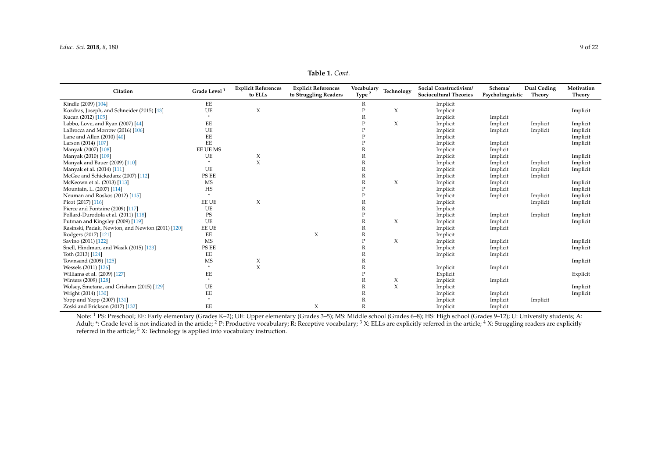| Table 1. Cont. |  |
|----------------|--|
|----------------|--|

| Citation                                         | Grade Level <sup>1</sup> | <b>Explicit References</b><br>to ELLs | <b>Explicit References</b><br>to Struggling Readers | Vocabulary<br>Type    | Technology          | Social Constructivism/<br><b>Sociocultural Theories</b> | Schema/<br>Psycholinguistic | <b>Dual Coding</b><br>Theory | Motivation<br>Theory |
|--------------------------------------------------|--------------------------|---------------------------------------|-----------------------------------------------------|-----------------------|---------------------|---------------------------------------------------------|-----------------------------|------------------------------|----------------------|
| Kindle (2009) [104]                              | EE                       |                                       |                                                     | R                     |                     | Implicit                                                |                             |                              |                      |
| Kozdras, Joseph, and Schneider (2015) [43]       | UE                       | $\chi$                                |                                                     | P                     | X                   | Implicit                                                |                             |                              | Implicit             |
| Kucan (2012) [105]                               |                          |                                       |                                                     | R                     |                     | Implicit                                                | Implicit                    |                              |                      |
| Labbo, Love, and Ryan (2007) [44]                | EE                       |                                       |                                                     | P                     | $\boldsymbol{\chi}$ | Implicit                                                | Implicit                    | Implicit                     | Implicit             |
| LaBrocca and Morrow (2016) [106]                 | UE                       |                                       |                                                     | P                     |                     | Implicit                                                | Implicit                    | Implicit                     | Implicit             |
| Lane and Allen $(2010)$ $[40]$                   | EE                       |                                       |                                                     |                       |                     | Implicit                                                |                             |                              | Implicit             |
| Larson (2014) [107]                              | EE                       |                                       |                                                     |                       |                     | Implicit                                                | Implicit                    |                              | Implicit             |
| Manyak (2007) [108]                              | EE UE MS                 |                                       |                                                     |                       |                     | Implicit                                                | Implicit                    |                              |                      |
| Manyak (2010) [109]                              | UE                       | X                                     |                                                     | R                     |                     | Implicit                                                | Implicit                    |                              | Implicit             |
| Manyak and Bauer (2009) [110]                    |                          | $\chi$                                |                                                     | R                     |                     | Implicit                                                | Implicit                    | Implicit                     | Implicit             |
| Manyak et al. (2014) [111]                       | UE                       |                                       |                                                     | R                     |                     | Implicit                                                | Implicit                    | Implicit                     | Implicit             |
| McGee and Schickedanz (2007) [112]               | PS EE                    |                                       |                                                     | R                     |                     | Implicit                                                | Implicit                    | Implicit                     |                      |
| McKeown et al. (2013) [113]                      | <b>MS</b>                |                                       |                                                     | R                     | $\chi$              | Implicit                                                | Implicit                    |                              | Implicit             |
| Mountain, L. (2007) [114]                        | HS                       |                                       |                                                     | D                     |                     | Implicit                                                | Implicit                    |                              | Implicit             |
| Neuman and Roskos (2012) [115]                   | $\ast$                   |                                       |                                                     |                       |                     | Implicit                                                | Implicit                    | Implicit                     | Implicit             |
| Picot (2017) [116]                               | EE UE                    | X                                     |                                                     | R                     |                     | Implicit                                                |                             | Implicit                     | Implicit             |
| Pierce and Fontaine (2009) [117]                 | UE                       |                                       |                                                     | R                     |                     | Implicit                                                |                             |                              |                      |
| Pollard-Durodola et al. (2011) [118]             | PS                       |                                       |                                                     | D                     |                     | Implicit                                                | Implicit                    | Implicit                     | Implicit             |
| Putman and Kingsley (2009) [119]                 | UE                       |                                       |                                                     | $\mathbb R$           | X                   | Implicit                                                | Implicit                    |                              | Implicit             |
| Rasinski, Padak, Newton, and Newton (2011) [120] | EE UE                    |                                       |                                                     | R                     |                     | Implicit                                                | Implicit                    |                              |                      |
| Rodgers (2017) [121]                             | EE                       |                                       | $\chi$                                              | $\mathbb R$           |                     | Implicit                                                |                             |                              |                      |
| Savino (2011) [122]                              | <b>MS</b>                |                                       |                                                     | P                     | X                   | Implicit                                                | Implicit                    |                              | Implicit             |
| Snell, Hindman, and Wasik (2015) [123]           | PS EE                    |                                       |                                                     | $\mathbb R$           |                     | Implicit                                                | Implicit                    |                              | Implicit             |
| Toth (2013) [124]                                | EE                       |                                       |                                                     | R                     |                     | Implicit                                                | Implicit                    |                              |                      |
| Townsend (2009) [125]                            | <b>MS</b>                | X                                     |                                                     | R                     |                     |                                                         |                             |                              | Implicit             |
| Wessels (2011) [126]                             | $\ast$                   | $\chi$                                |                                                     | R                     |                     | Implicit                                                | Implicit                    |                              |                      |
| Williams et al. (2009) [127]                     | EE                       |                                       |                                                     | D                     |                     | Explicit                                                |                             |                              | Explicit             |
| Winters (2009) [128]                             | $\ast$                   |                                       |                                                     | R                     | X                   | Implicit                                                | Implicit                    |                              |                      |
| Wolsey, Smetana, and Grisham (2015) [129]        | UE                       |                                       |                                                     | R                     | $\boldsymbol{\chi}$ | Implicit                                                |                             |                              | Implicit             |
| Wright (2014) [130]                              | EE                       |                                       |                                                     | $\overline{\text{R}}$ |                     | Implicit                                                | Implicit                    |                              | Implicit             |
| Yopp and Yopp (2007) [131]                       | $*$                      |                                       |                                                     | R                     |                     | Implicit                                                | Implicit                    | Implicit                     |                      |
| Zoski and Erickson (2017) [132]                  | EE                       |                                       | X                                                   | $\mathbb R$           |                     | Implicit                                                | Implicit                    |                              |                      |

<span id="page-8-0"></span>Note: <sup>1</sup> PS: Preschool; EE: Early elementary (Grades K–2); UE: Upper elementary (Grades 3–5); MS: Middle school (Grades 6–8); HS: High school (Grades 9–12); U: University students; A: Adult; \*: Grade level is not indicated in the article; <sup>2</sup> P: Productive vocabulary; R: Receptive vocabulary; <sup>3</sup> X: ELLs are explicitly referred in the article; <sup>4</sup> X: Struggling readers are explicitly referred in the article; <sup>5</sup> X: Technology is applied into vocabulary instruction.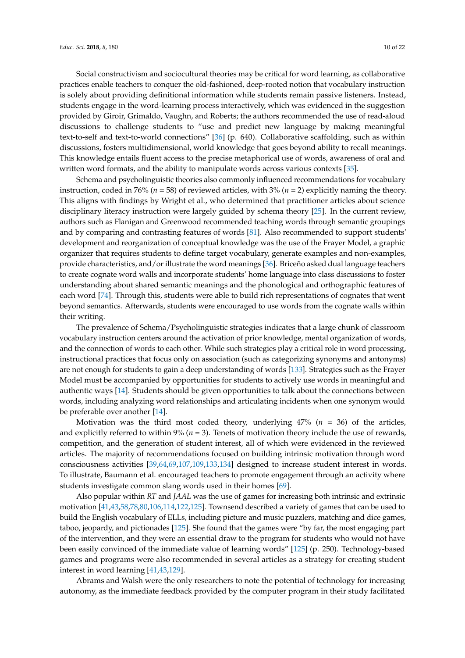Social constructivism and sociocultural theories may be critical for word learning, as collaborative practices enable teachers to conquer the old-fashioned, deep-rooted notion that vocabulary instruction is solely about providing definitional information while students remain passive listeners. Instead, students engage in the word-learning process interactively, which was evidenced in the suggestion provided by Giroir, Grimaldo, Vaughn, and Roberts; the authors recommended the use of read-aloud discussions to challenge students to "use and predict new language by making meaningful text-to-self and text-to-world connections" [\[36\]](#page-16-18) (p. 640). Collaborative scaffolding, such as within discussions, fosters multidimensional, world knowledge that goes beyond ability to recall meanings. This knowledge entails fluent access to the precise metaphorical use of words, awareness of oral and written word formats, and the ability to manipulate words across various contexts [\[35\]](#page-16-17).

Schema and psycholinguistic theories also commonly influenced recommendations for vocabulary instruction, coded in 76% (*n* = 58) of reviewed articles, with 3% (*n* = 2) explicitly naming the theory. This aligns with findings by Wright et al., who determined that practitioner articles about science disciplinary literacy instruction were largely guided by schema theory [\[25\]](#page-16-7). In the current review, authors such as Flanigan and Greenwood recommended teaching words through semantic groupings and by comparing and contrasting features of words [\[81\]](#page-18-21). Also recommended to support students' development and reorganization of conceptual knowledge was the use of the Frayer Model, a graphic organizer that requires students to define target vocabulary, generate examples and non-examples, provide characteristics, and/or illustrate the word meanings [\[36\]](#page-16-18). Briceño asked dual language teachers to create cognate word walls and incorporate students' home language into class discussions to foster understanding about shared semantic meanings and the phonological and orthographic features of each word [\[74\]](#page-18-29). Through this, students were able to build rich representations of cognates that went beyond semantics. Afterwards, students were encouraged to use words from the cognate walls within their writing.

The prevalence of Schema/Psycholinguistic strategies indicates that a large chunk of classroom vocabulary instruction centers around the activation of prior knowledge, mental organization of words, and the connection of words to each other. While such strategies play a critical role in word processing, instructional practices that focus only on association (such as categorizing synonyms and antonyms) are not enough for students to gain a deep understanding of words [\[133\]](#page-20-5). Strategies such as the Frayer Model must be accompanied by opportunities for students to actively use words in meaningful and authentic ways [\[14\]](#page-15-11). Students should be given opportunities to talk about the connections between words, including analyzing word relationships and articulating incidents when one synonym would be preferable over another [\[14\]](#page-15-11).

Motivation was the third most coded theory, underlying  $47\%$  ( $n = 36$ ) of the articles, and explicitly referred to within  $9\%$  ( $n = 3$ ). Tenets of motivation theory include the use of rewards, competition, and the generation of student interest, all of which were evidenced in the reviewed articles. The majority of recommendations focused on building intrinsic motivation through word consciousness activities [\[39,](#page-16-21)[64](#page-17-20)[,69,](#page-17-30)[107](#page-19-28)[,109](#page-19-29)[,133](#page-20-5)[,134\]](#page-20-6) designed to increase student interest in words. To illustrate, Baumann et al. encouraged teachers to promote engagement through an activity where students investigate common slang words used in their homes [\[69\]](#page-17-30).

Also popular within *RT* and *JAAL* was the use of games for increasing both intrinsic and extrinsic motivation [\[41](#page-16-23)[,43](#page-16-28)[,58,](#page-17-14)[78,](#page-18-30)[80](#page-18-31)[,106](#page-19-30)[,114,](#page-19-31)[122,](#page-19-32)[125\]](#page-19-33). Townsend described a variety of games that can be used to build the English vocabulary of ELLs, including picture and music puzzlers, matching and dice games, taboo, jeopardy, and pictionades [\[125\]](#page-19-33). She found that the games were "by far, the most engaging part of the intervention, and they were an essential draw to the program for students who would not have been easily convinced of the immediate value of learning words" [\[125\]](#page-19-33) (p. 250). Technology-based games and programs were also recommended in several articles as a strategy for creating student interest in word learning [\[41](#page-16-23)[,43](#page-16-28)[,129\]](#page-20-7).

Abrams and Walsh were the only researchers to note the potential of technology for increasing autonomy, as the immediate feedback provided by the computer program in their study facilitated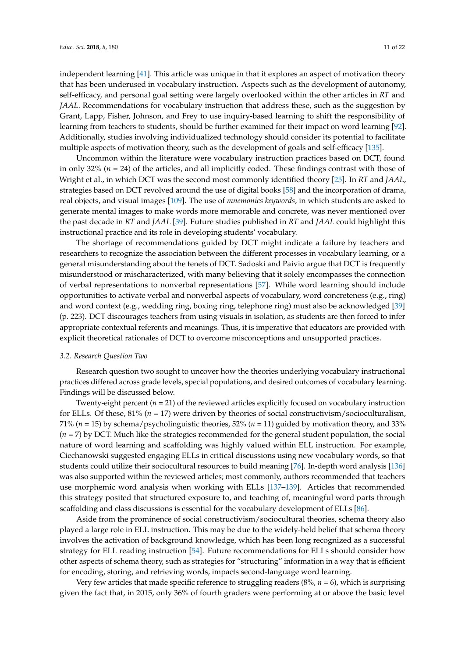independent learning [\[41\]](#page-16-23). This article was unique in that it explores an aspect of motivation theory that has been underused in vocabulary instruction. Aspects such as the development of autonomy, self-efficacy, and personal goal setting were largely overlooked within the other articles in *RT* and *JAAL*. Recommendations for vocabulary instruction that address these, such as the suggestion by Grant, Lapp, Fisher, Johnson, and Frey to use inquiry-based learning to shift the responsibility of learning from teachers to students, should be further examined for their impact on word learning [\[92\]](#page-18-32). Additionally, studies involving individualized technology should consider its potential to facilitate multiple aspects of motivation theory, such as the development of goals and self-efficacy [\[135\]](#page-20-8).

Uncommon within the literature were vocabulary instruction practices based on DCT, found in only 32% (*n* = 24) of the articles, and all implicitly coded. These findings contrast with those of Wright et al., in which DCT was the second most commonly identified theory [\[25\]](#page-16-7). In *RT* and *JAAL*, strategies based on DCT revolved around the use of digital books [\[58\]](#page-17-14) and the incorporation of drama, real objects, and visual images [\[109\]](#page-19-29). The use of *mnemonics keywords,* in which students are asked to generate mental images to make words more memorable and concrete, was never mentioned over the past decade in *RT* and *JAAL* [\[39\]](#page-16-21). Future studies published in *RT* and *JAAL* could highlight this instructional practice and its role in developing students' vocabulary.

The shortage of recommendations guided by DCT might indicate a failure by teachers and researchers to recognize the association between the different processes in vocabulary learning, or a general misunderstanding about the tenets of DCT. Sadoski and Paivio argue that DCT is frequently misunderstood or mischaracterized, with many believing that it solely encompasses the connection of verbal representations to nonverbal representations [\[57\]](#page-17-13). While word learning should include opportunities to activate verbal and nonverbal aspects of vocabulary, word concreteness (e.g., ring) and word context (e.g., wedding ring, boxing ring, telephone ring) must also be acknowledged [\[39\]](#page-16-21) (p. 223). DCT discourages teachers from using visuals in isolation, as students are then forced to infer appropriate contextual referents and meanings. Thus, it is imperative that educators are provided with explicit theoretical rationales of DCT to overcome misconceptions and unsupported practices.

## *3.2. Research Question Two*

Research question two sought to uncover how the theories underlying vocabulary instructional practices differed across grade levels, special populations, and desired outcomes of vocabulary learning. Findings will be discussed below.

Twenty-eight percent (*n* = 21) of the reviewed articles explicitly focused on vocabulary instruction for ELLs. Of these, 81% (*n* = 17) were driven by theories of social constructivism/socioculturalism, 71% (*n* = 15) by schema/psycholinguistic theories, 52% (*n* = 11) guided by motivation theory, and 33% (*n* = 7) by DCT. Much like the strategies recommended for the general student population, the social nature of word learning and scaffolding was highly valued within ELL instruction. For example, Ciechanowski suggested engaging ELLs in critical discussions using new vocabulary words, so that students could utilize their sociocultural resources to build meaning [\[76\]](#page-18-33). In-depth word analysis [\[136\]](#page-20-9) was also supported within the reviewed articles; most commonly, authors recommended that teachers use morphemic word analysis when working with ELLs [\[137](#page-20-10)[–139\]](#page-20-11). Articles that recommended this strategy posited that structured exposure to, and teaching of, meaningful word parts through scaffolding and class discussions is essential for the vocabulary development of ELLs [\[86\]](#page-18-27).

Aside from the prominence of social constructivism/sociocultural theories, schema theory also played a large role in ELL instruction. This may be due to the widely-held belief that schema theory involves the activation of background knowledge, which has been long recognized as a successful strategy for ELL reading instruction [\[54\]](#page-17-10). Future recommendations for ELLs should consider how other aspects of schema theory, such as strategies for "structuring" information in a way that is efficient for encoding, storing, and retrieving words, impacts second-language word learning.

Very few articles that made specific reference to struggling readers  $(8\%, n = 6)$ , which is surprising given the fact that, in 2015, only 36% of fourth graders were performing at or above the basic level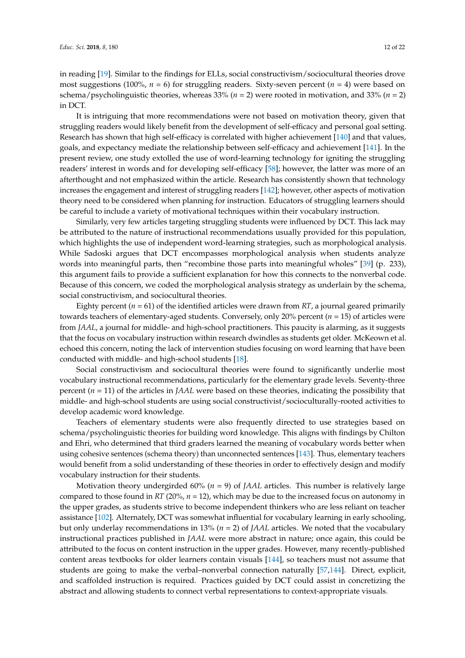in reading [\[19\]](#page-16-1). Similar to the findings for ELLs, social constructivism/sociocultural theories drove most suggestions (100%,  $n = 6$ ) for struggling readers. Sixty-seven percent ( $n = 4$ ) were based on schema/psycholinguistic theories, whereas 33% (*n* = 2) were rooted in motivation, and 33% (*n* = 2) in DCT.

It is intriguing that more recommendations were not based on motivation theory, given that struggling readers would likely benefit from the development of self-efficacy and personal goal setting. Research has shown that high self-efficacy is correlated with higher achievement [\[140\]](#page-20-12) and that values, goals, and expectancy mediate the relationship between self-efficacy and achievement [\[141\]](#page-20-13). In the present review, one study extolled the use of word-learning technology for igniting the struggling readers' interest in words and for developing self-efficacy [\[58\]](#page-17-14); however, the latter was more of an afterthought and not emphasized within the article. Research has consistently shown that technology increases the engagement and interest of struggling readers [\[142\]](#page-20-14); however, other aspects of motivation theory need to be considered when planning for instruction. Educators of struggling learners should be careful to include a variety of motivational techniques within their vocabulary instruction.

Similarly, very few articles targeting struggling students were influenced by DCT. This lack may be attributed to the nature of instructional recommendations usually provided for this population, which highlights the use of independent word-learning strategies, such as morphological analysis. While Sadoski argues that DCT encompasses morphological analysis when students analyze words into meaningful parts, then "recombine those parts into meaningful wholes" [\[39\]](#page-16-21) (p. 233), this argument fails to provide a sufficient explanation for how this connects to the nonverbal code. Because of this concern, we coded the morphological analysis strategy as underlain by the schema, social constructivism, and sociocultural theories.

Eighty percent  $(n = 61)$  of the identified articles were drawn from *RT*, a journal geared primarily towards teachers of elementary-aged students. Conversely, only 20% percent (*n* = 15) of articles were from *JAAL*, a journal for middle- and high-school practitioners. This paucity is alarming, as it suggests that the focus on vocabulary instruction within research dwindles as students get older. McKeown et al. echoed this concern, noting the lack of intervention studies focusing on word learning that have been conducted with middle- and high-school students [\[18\]](#page-16-0).

Social constructivism and sociocultural theories were found to significantly underlie most vocabulary instructional recommendations, particularly for the elementary grade levels. Seventy-three percent (*n* = 11) of the articles in *JAAL* were based on these theories, indicating the possibility that middle- and high-school students are using social constructivist/socioculturally-rooted activities to develop academic word knowledge.

Teachers of elementary students were also frequently directed to use strategies based on schema/psycholinguistic theories for building word knowledge. This aligns with findings by Chilton and Ehri, who determined that third graders learned the meaning of vocabulary words better when using cohesive sentences (schema theory) than unconnected sentences [\[143\]](#page-20-15). Thus, elementary teachers would benefit from a solid understanding of these theories in order to effectively design and modify vocabulary instruction for their students.

Motivation theory undergirded 60% (*n* = 9) of *JAAL* articles. This number is relatively large compared to those found in *RT* (20%, *n* = 12), which may be due to the increased focus on autonomy in the upper grades, as students strive to become independent thinkers who are less reliant on teacher assistance [\[102\]](#page-19-34). Alternately, DCT was somewhat influential for vocabulary learning in early schooling, but only underlay recommendations in 13% (*n* = 2) of *JAAL* articles. We noted that the vocabulary instructional practices published in *JAAL* were more abstract in nature; once again, this could be attributed to the focus on content instruction in the upper grades. However, many recently-published content areas textbooks for older learners contain visuals [\[144\]](#page-20-16), so teachers must not assume that students are going to make the verbal–nonverbal connection naturally [\[57,](#page-17-13)[144\]](#page-20-16). Direct, explicit, and scaffolded instruction is required. Practices guided by DCT could assist in concretizing the abstract and allowing students to connect verbal representations to context-appropriate visuals.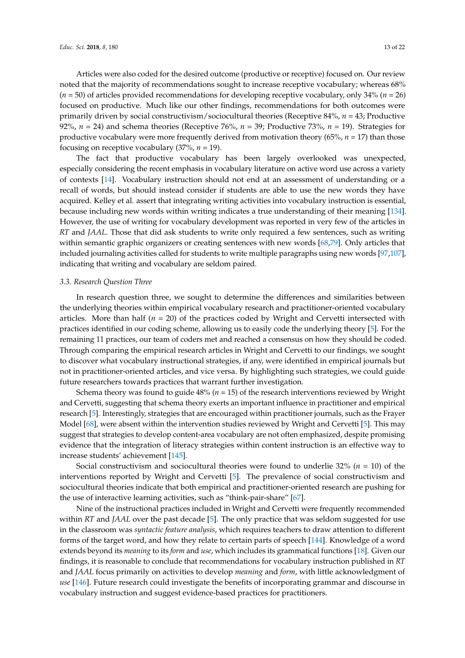Articles were also coded for the desired outcome (productive or receptive) focused on. Our review noted that the majority of recommendations sought to increase receptive vocabulary; whereas 68% (*n* = 50) of articles provided recommendations for developing receptive vocabulary, only 34% (*n* = 26) focused on productive. Much like our other findings, recommendations for both outcomes were primarily driven by social constructivism/sociocultural theories (Receptive 84%, *n* = 43; Productive 92%, *n* = 24) and schema theories (Receptive 76%, *n* = 39; Productive 73%, *n* = 19). Strategies for productive vocabulary were more frequently derived from motivation theory (65%, *n* = 17) than those focusing on receptive vocabulary (37%, *n* = 19).

The fact that productive vocabulary has been largely overlooked was unexpected, especially considering the recent emphasis in vocabulary literature on active word use across a variety of contexts [\[14\]](#page-15-11). Vocabulary instruction should not end at an assessment of understanding or a recall of words, but should instead consider if students are able to use the new words they have acquired. Kelley et al. assert that integrating writing activities into vocabulary instruction is essential, because including new words within writing indicates a true understanding of their meaning [\[134\]](#page-20-6). However, the use of writing for vocabulary development was reported in very few of the articles in *RT* and *JAAL.* Those that did ask students to write only required a few sentences, such as writing within semantic graphic organizers or creating sentences with new words [\[68](#page-17-31)[,79\]](#page-18-34). Only articles that included journaling activities called for students to write multiple paragraphs using new words [\[97,](#page-18-35)[107\]](#page-19-28), indicating that writing and vocabulary are seldom paired.

#### *3.3. Research Question Three*

In research question three, we sought to determine the differences and similarities between the underlying theories within empirical vocabulary research and practitioner-oriented vocabulary articles. More than half  $(n = 20)$  of the practices coded by Wright and Cervetti intersected with practices identified in our coding scheme, allowing us to easily code the underlying theory [\[5\]](#page-15-2). For the remaining 11 practices, our team of coders met and reached a consensus on how they should be coded. Through comparing the empirical research articles in Wright and Cervetti to our findings, we sought to discover what vocabulary instructional strategies, if any, were identified in empirical journals but not in practitioner-oriented articles, and vice versa. By highlighting such strategies, we could guide future researchers towards practices that warrant further investigation.

Schema theory was found to guide 48% (*n* = 15) of the research interventions reviewed by Wright and Cervetti, suggesting that schema theory exerts an important influence in practitioner and empirical research [\[5\]](#page-15-2). Interestingly, strategies that are encouraged within practitioner journals, such as the Frayer Model [\[68\]](#page-17-31), were absent within the intervention studies reviewed by Wright and Cervetti [\[5\]](#page-15-2). This may suggest that strategies to develop content-area vocabulary are not often emphasized, despite promising evidence that the integration of literacy strategies within content instruction is an effective way to increase students' achievement [\[145\]](#page-20-17).

Social constructivism and sociocultural theories were found to underlie 32% (*n* = 10) of the interventions reported by Wright and Cervetti [\[5\]](#page-15-2). The prevalence of social constructivism and sociocultural theories indicate that both empirical and practitioner-oriented research are pushing for the use of interactive learning activities, such as "think-pair-share" [\[67\]](#page-17-23).

Nine of the instructional practices included in Wright and Cervetti were frequently recommended within *RT* and *JAAL* over the past decade [\[5\]](#page-15-2). The only practice that was seldom suggested for use in the classroom was *syntactic feature analysis*, which requires teachers to draw attention to different forms of the target word, and how they relate to certain parts of speech [\[144\]](#page-20-16). Knowledge of a word extends beyond its *meaning* to its *form* and *use*, which includes its grammatical functions [\[18\]](#page-16-0). Given our findings, it is reasonable to conclude that recommendations for vocabulary instruction published in *RT* and *JAAL* focus primarily on activities to develop *meaning* and *form*, with little acknowledgment of *use* [\[146\]](#page-20-18). Future research could investigate the benefits of incorporating grammar and discourse in vocabulary instruction and suggest evidence-based practices for practitioners.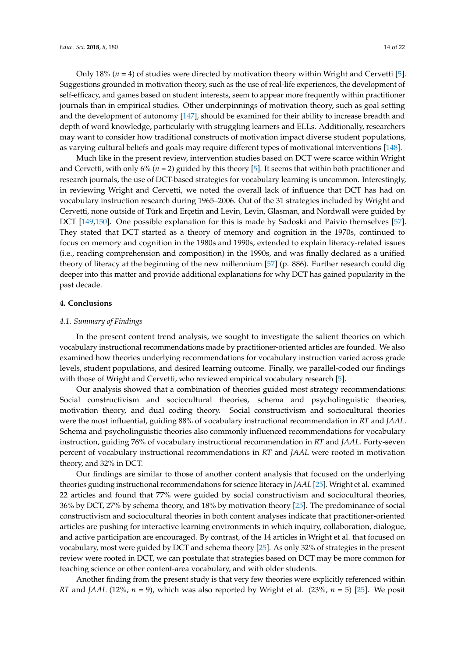Only 18% ( $n = 4$ ) of studies were directed by motivation theory within Wright and Cervetti [\[5\]](#page-15-2). Suggestions grounded in motivation theory, such as the use of real-life experiences, the development of self-efficacy, and games based on student interests, seem to appear more frequently within practitioner journals than in empirical studies. Other underpinnings of motivation theory, such as goal setting and the development of autonomy [\[147\]](#page-20-19), should be examined for their ability to increase breadth and depth of word knowledge, particularly with struggling learners and ELLs. Additionally, researchers may want to consider how traditional constructs of motivation impact diverse student populations, as varying cultural beliefs and goals may require different types of motivational interventions [\[148\]](#page-20-20).

Much like in the present review, intervention studies based on DCT were scarce within Wright and Cervetti, with only 6% (*n* = 2) guided by this theory [\[5\]](#page-15-2). It seems that within both practitioner and research journals, the use of DCT-based strategies for vocabulary learning is uncommon. Interestingly, in reviewing Wright and Cervetti, we noted the overall lack of influence that DCT has had on vocabulary instruction research during 1965–2006. Out of the 31 strategies included by Wright and Cervetti, none outside of Türk and Erçetin and Levin, Levin, Glasman, and Nordwall were guided by DCT [\[149,](#page-20-21)[150\]](#page-20-22). One possible explanation for this is made by Sadoski and Paivio themselves [\[57\]](#page-17-13). They stated that DCT started as a theory of memory and cognition in the 1970s, continued to focus on memory and cognition in the 1980s and 1990s, extended to explain literacy-related issues (i.e., reading comprehension and composition) in the 1990s, and was finally declared as a unified theory of literacy at the beginning of the new millennium [\[57\]](#page-17-13) (p. 886). Further research could dig deeper into this matter and provide additional explanations for why DCT has gained popularity in the past decade.

# **4. Conclusions**

#### *4.1. Summary of Findings*

In the present content trend analysis, we sought to investigate the salient theories on which vocabulary instructional recommendations made by practitioner-oriented articles are founded. We also examined how theories underlying recommendations for vocabulary instruction varied across grade levels, student populations, and desired learning outcome. Finally, we parallel-coded our findings with those of Wright and Cervetti, who reviewed empirical vocabulary research [\[5\]](#page-15-2).

Our analysis showed that a combination of theories guided most strategy recommendations: Social constructivism and sociocultural theories, schema and psycholinguistic theories, motivation theory, and dual coding theory. Social constructivism and sociocultural theories were the most influential, guiding 88% of vocabulary instructional recommendation in *RT* and *JAAL*. Schema and psycholinguistic theories also commonly influenced recommendations for vocabulary instruction, guiding 76% of vocabulary instructional recommendation in *RT* and *JAAL*. Forty-seven percent of vocabulary instructional recommendations in *RT* and *JAAL* were rooted in motivation theory, and 32% in DCT.

Our findings are similar to those of another content analysis that focused on the underlying theories guiding instructional recommendations for science literacy in *JAAL* [\[25\]](#page-16-7). Wright et al. examined 22 articles and found that 77% were guided by social constructivism and sociocultural theories, 36% by DCT, 27% by schema theory, and 18% by motivation theory [\[25\]](#page-16-7). The predominance of social constructivism and sociocultural theories in both content analyses indicate that practitioner-oriented articles are pushing for interactive learning environments in which inquiry, collaboration, dialogue, and active participation are encouraged. By contrast, of the 14 articles in Wright et al. that focused on vocabulary, most were guided by DCT and schema theory [\[25\]](#page-16-7). As only 32% of strategies in the present review were rooted in DCT, we can postulate that strategies based on DCT may be more common for teaching science or other content-area vocabulary, and with older students.

Another finding from the present study is that very few theories were explicitly referenced within *RT* and *JAAL* (12%,  $n = 9$ ), which was also reported by Wright et al. (23%,  $n = 5$ ) [\[25\]](#page-16-7). We posit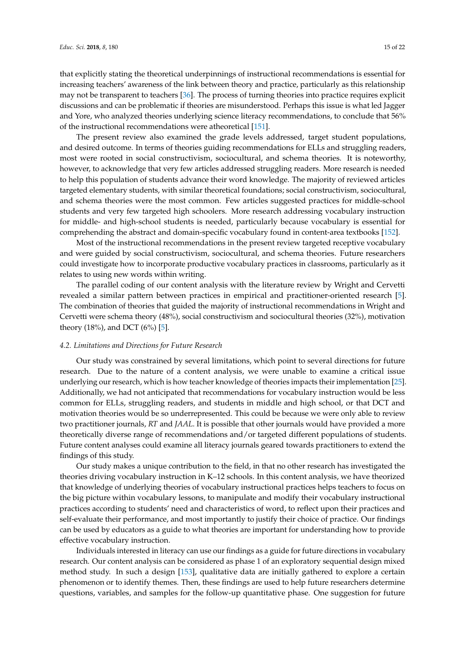that explicitly stating the theoretical underpinnings of instructional recommendations is essential for increasing teachers' awareness of the link between theory and practice, particularly as this relationship may not be transparent to teachers [\[36\]](#page-16-18). The process of turning theories into practice requires explicit discussions and can be problematic if theories are misunderstood. Perhaps this issue is what led Jagger and Yore, who analyzed theories underlying science literacy recommendations, to conclude that 56% of the instructional recommendations were atheoretical [\[151\]](#page-20-23).

The present review also examined the grade levels addressed, target student populations, and desired outcome. In terms of theories guiding recommendations for ELLs and struggling readers, most were rooted in social constructivism, sociocultural, and schema theories. It is noteworthy, however, to acknowledge that very few articles addressed struggling readers. More research is needed to help this population of students advance their word knowledge. The majority of reviewed articles targeted elementary students, with similar theoretical foundations; social constructivism, sociocultural, and schema theories were the most common. Few articles suggested practices for middle-school students and very few targeted high schoolers. More research addressing vocabulary instruction for middle- and high-school students is needed, particularly because vocabulary is essential for comprehending the abstract and domain-specific vocabulary found in content-area textbooks [\[152\]](#page-21-0).

Most of the instructional recommendations in the present review targeted receptive vocabulary and were guided by social constructivism, sociocultural, and schema theories. Future researchers could investigate how to incorporate productive vocabulary practices in classrooms, particularly as it relates to using new words within writing.

The parallel coding of our content analysis with the literature review by Wright and Cervetti revealed a similar pattern between practices in empirical and practitioner-oriented research [\[5\]](#page-15-2). The combination of theories that guided the majority of instructional recommendations in Wright and Cervetti were schema theory (48%), social constructivism and sociocultural theories (32%), motivation theory  $(18%)$ , and DCT  $(6%)$  [\[5\]](#page-15-2).

## *4.2. Limitations and Directions for Future Research*

Our study was constrained by several limitations, which point to several directions for future research. Due to the nature of a content analysis, we were unable to examine a critical issue underlying our research, which is how teacher knowledge of theories impacts their implementation [\[25\]](#page-16-7). Additionally, we had not anticipated that recommendations for vocabulary instruction would be less common for ELLs, struggling readers, and students in middle and high school, or that DCT and motivation theories would be so underrepresented. This could be because we were only able to review two practitioner journals, *RT* and *JAAL*. It is possible that other journals would have provided a more theoretically diverse range of recommendations and/or targeted different populations of students. Future content analyses could examine all literacy journals geared towards practitioners to extend the findings of this study.

Our study makes a unique contribution to the field, in that no other research has investigated the theories driving vocabulary instruction in K–12 schools. In this content analysis, we have theorized that knowledge of underlying theories of vocabulary instructional practices helps teachers to focus on the big picture within vocabulary lessons, to manipulate and modify their vocabulary instructional practices according to students' need and characteristics of word, to reflect upon their practices and self-evaluate their performance, and most importantly to justify their choice of practice. Our findings can be used by educators as a guide to what theories are important for understanding how to provide effective vocabulary instruction.

Individuals interested in literacy can use our findings as a guide for future directions in vocabulary research. Our content analysis can be considered as phase 1 of an exploratory sequential design mixed method study. In such a design [\[153\]](#page-21-1), qualitative data are initially gathered to explore a certain phenomenon or to identify themes. Then, these findings are used to help future researchers determine questions, variables, and samples for the follow-up quantitative phase. One suggestion for future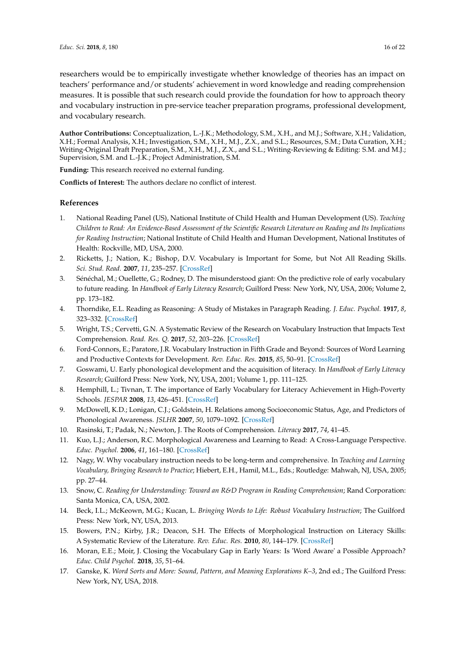researchers would be to empirically investigate whether knowledge of theories has an impact on teachers' performance and/or students' achievement in word knowledge and reading comprehension measures. It is possible that such research could provide the foundation for how to approach theory and vocabulary instruction in pre-service teacher preparation programs, professional development, and vocabulary research.

**Author Contributions:** Conceptualization, L.-J.K.; Methodology, S.M., X.H., and M.J.; Software, X.H.; Validation, X.H.; Formal Analysis, X.H.; Investigation, S.M., X.H., M.J., Z.X., and S.L.; Resources, S.M.; Data Curation, X.H.; Writing-Original Draft Preparation, S.M., X.H., M.J., Z.X., and S.L.; Writing-Reviewing & Editing: S.M. and M.J.; Supervision, S.M. and L.-J.K.; Project Administration, S.M.

**Funding:** This research received no external funding.

**Conflicts of Interest:** The authors declare no conflict of interest.

# **References**

- <span id="page-15-0"></span>1. National Reading Panel (US), National Institute of Child Health and Human Development (US). *Teaching Children to Read: An Evidence-Based Assessment of the Scientific Research Literature on Reading and Its Implications for Reading Instruction*; National Institute of Child Health and Human Development, National Institutes of Health: Rockville, MD, USA, 2000.
- <span id="page-15-1"></span>2. Ricketts, J.; Nation, K.; Bishop, D.V. Vocabulary is Important for Some, but Not All Reading Skills. *Sci. Stud. Read.* **2007**, *11*, 235–257. [\[CrossRef\]](http://dx.doi.org/10.1080/10888430701344306)
- 3. Sénéchal, M.; Ouellette, G.; Rodney, D. The misunderstood giant: On the predictive role of early vocabulary to future reading. In *Handbook of Early Literacy Research*; Guilford Press: New York, NY, USA, 2006; Volume 2, pp. 173–182.
- 4. Thorndike, E.L. Reading as Reasoning: A Study of Mistakes in Paragraph Reading. *J. Educ. Psychol.* **1917**, *8*, 323–332. [\[CrossRef\]](http://dx.doi.org/10.1037/h0075325)
- <span id="page-15-2"></span>5. Wright, T.S.; Cervetti, G.N. A Systematic Review of the Research on Vocabulary Instruction that Impacts Text Comprehension. *Read. Res. Q.* **2017**, *52*, 203–226. [\[CrossRef\]](http://dx.doi.org/10.1002/rrq.163)
- <span id="page-15-3"></span>6. Ford-Connors, E.; Paratore, J.R. Vocabulary Instruction in Fifth Grade and Beyond: Sources of Word Learning and Productive Contexts for Development. *Rev. Educ. Res.* **2015**, *85*, 50–91. [\[CrossRef\]](http://dx.doi.org/10.3102/0034654314540943)
- <span id="page-15-4"></span>7. Goswami, U. Early phonological development and the acquisition of literacy. In *Handbook of Early Literacy Research*; Guilford Press: New York, NY, USA, 2001; Volume 1, pp. 111–125.
- <span id="page-15-5"></span>8. Hemphill, L.; Tivnan, T. The importance of Early Vocabulary for Literacy Achievement in High-Poverty Schools. *JESPAR* **2008**, *13*, 426–451. [\[CrossRef\]](http://dx.doi.org/10.1080/10824660802427710)
- <span id="page-15-6"></span>9. McDowell, K.D.; Lonigan, C.J.; Goldstein, H. Relations among Socioeconomic Status, Age, and Predictors of Phonological Awareness. *JSLHR* **2007**, *50*, 1079–1092. [\[CrossRef\]](http://dx.doi.org/10.1044/1092-4388(2007/075))
- <span id="page-15-7"></span>10. Rasinski, T.; Padak, N.; Newton, J. The Roots of Comprehension. *Literacy* **2017**, *74*, 41–45.
- <span id="page-15-8"></span>11. Kuo, L.J.; Anderson, R.C. Morphological Awareness and Learning to Read: A Cross-Language Perspective. *Educ. Psychol.* **2006**, *41*, 161–180. [\[CrossRef\]](http://dx.doi.org/10.1207/s15326985ep4103_3)
- <span id="page-15-9"></span>12. Nagy, W. Why vocabulary instruction needs to be long-term and comprehensive. In *Teaching and Learning Vocabulary, Bringing Research to Practice*; Hiebert, E.H., Hamil, M.L., Eds.; Routledge: Mahwah, NJ, USA, 2005; pp. 27–44.
- <span id="page-15-10"></span>13. Snow, C. *Reading for Understanding: Toward an R&D Program in Reading Comprehension*; Rand Corporation: Santa Monica, CA, USA, 2002.
- <span id="page-15-11"></span>14. Beck, I.L.; McKeown, M.G.; Kucan, L. *Bringing Words to Life: Robust Vocabulary Instruction*; The Guilford Press: New York, NY, USA, 2013.
- <span id="page-15-12"></span>15. Bowers, P.N.; Kirby, J.R.; Deacon, S.H. The Effects of Morphological Instruction on Literacy Skills: A Systematic Review of the Literature. *Rev. Educ. Res.* **2010**, *80*, 144–179. [\[CrossRef\]](http://dx.doi.org/10.3102/0034654309359353)
- <span id="page-15-13"></span>16. Moran, E.E.; Moir, J. Closing the Vocabulary Gap in Early Years: Is 'Word Aware' a Possible Approach? *Educ. Child Psychol.* **2018**, *35*, 51–64.
- <span id="page-15-14"></span>17. Ganske, K. *Word Sorts and More: Sound, Pattern, and Meaning Explorations K–3*, 2nd ed.; The Guilford Press: New York, NY, USA, 2018.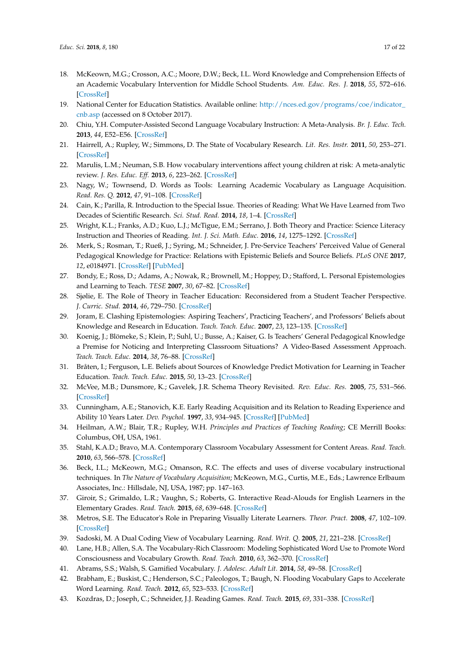- <span id="page-16-0"></span>18. McKeown, M.G.; Crosson, A.C.; Moore, D.W.; Beck, I.L. Word Knowledge and Comprehension Effects of an Academic Vocabulary Intervention for Middle School Students. *Am. Educ. Res. J.* **2018**, *55*, 572–616. [\[CrossRef\]](http://dx.doi.org/10.3102/0002831217744181)
- <span id="page-16-1"></span>19. National Center for Education Statistics. Available online: [http://nces.ed.gov/programs/coe/indicator\\_](http://nces.ed.gov/programs/coe/indicator_cnb.asp) [cnb.asp](http://nces.ed.gov/programs/coe/indicator_cnb.asp) (accessed on 8 October 2017).
- <span id="page-16-2"></span>20. Chiu, Y.H. Computer-Assisted Second Language Vocabulary Instruction: A Meta-Analysis. *Br. J. Educ. Tech.* **2013**, *44*, E52–E56. [\[CrossRef\]](http://dx.doi.org/10.1111/j.1467-8535.2012.01342.x)
- <span id="page-16-4"></span>21. Hairrell, A.; Rupley, W.; Simmons, D. The State of Vocabulary Research. *Lit. Res. Instr.* **2011**, *50*, 253–271. [\[CrossRef\]](http://dx.doi.org/10.1080/19388071.2010.514036)
- <span id="page-16-3"></span>22. Marulis, L.M.; Neuman, S.B. How vocabulary interventions affect young children at risk: A meta-analytic review. *J. Res. Educ. Eff.* **2013**, *6*, 223–262. [\[CrossRef\]](http://dx.doi.org/10.1080/19345747.2012.755591)
- <span id="page-16-5"></span>23. Nagy, W.; Townsend, D. Words as Tools: Learning Academic Vocabulary as Language Acquisition. *Read. Res. Q.* **2012**, *47*, 91–108. [\[CrossRef\]](http://dx.doi.org/10.1002/RRQ.011)
- <span id="page-16-6"></span>24. Cain, K.; Parilla, R. Introduction to the Special Issue. Theories of Reading: What We Have Learned from Two Decades of Scientific Research. *Sci. Stud. Read.* **2014**, *18*, 1–4. [\[CrossRef\]](http://dx.doi.org/10.1080/10888438.2013.836525)
- <span id="page-16-7"></span>25. Wright, K.L.; Franks, A.D.; Kuo, L.J.; McTigue, E.M.; Serrano, J. Both Theory and Practice: Science Literacy Instruction and Theories of Reading. *Int. J. Sci. Math. Educ.* **2016**, *14*, 1275–1292. [\[CrossRef\]](http://dx.doi.org/10.1007/s10763-015-9661-2)
- <span id="page-16-8"></span>26. Merk, S.; Rosman, T.; Rueß, J.; Syring, M.; Schneider, J. Pre-Service Teachers' Perceived Value of General Pedagogical Knowledge for Practice: Relations with Epistemic Beliefs and Source Beliefs. *PLoS ONE* **2017**, *12*, e0184971. [\[CrossRef\]](http://dx.doi.org/10.1371/journal.pone.0184971) [\[PubMed\]](http://www.ncbi.nlm.nih.gov/pubmed/28934358)
- <span id="page-16-9"></span>27. Bondy, E.; Ross, D.; Adams, A.; Nowak, R.; Brownell, M.; Hoppey, D.; Stafford, L. Personal Epistemologies and Learning to Teach. *TESE* **2007**, *30*, 67–82. [\[CrossRef\]](http://dx.doi.org/10.1177/088840640703000202)
- <span id="page-16-25"></span><span id="page-16-10"></span>28. Sjølie, E. The Role of Theory in Teacher Education: Reconsidered from a Student Teacher Perspective. *J. Curric. Stud.* **2014**, *46*, 729–750. [\[CrossRef\]](http://dx.doi.org/10.1080/00220272.2013.871754)
- <span id="page-16-11"></span>29. Joram, E. Clashing Epistemologies: Aspiring Teachers', Practicing Teachers', and Professors' Beliefs about Knowledge and Research in Education. *Teach. Teach. Educ.* **2007**, *23*, 123–135. [\[CrossRef\]](http://dx.doi.org/10.1016/j.tate.2006.04.032)
- <span id="page-16-12"></span>30. Koenig, J.; Blömeke, S.; Klein, P.; Suhl, U.; Busse, A.; Kaiser, G. Is Teachers' General Pedagogical Knowledge a Premise for Noticing and Interpreting Classroom Situations? A Video-Based Assessment Approach. *Teach. Teach. Educ.* **2014**, *38*, 76–88. [\[CrossRef\]](http://dx.doi.org/10.1016/j.tate.2013.11.004)
- <span id="page-16-27"></span><span id="page-16-24"></span><span id="page-16-13"></span>31. Bråten, I.; Ferguson, L.E. Beliefs about Sources of Knowledge Predict Motivation for Learning in Teacher Education. *Teach. Teach. Educ.* **2015**, *50*, 13–23. [\[CrossRef\]](http://dx.doi.org/10.1016/j.tate.2015.04.003)
- <span id="page-16-14"></span>32. McVee, M.B.; Dunsmore, K.; Gavelek, J.R. Schema Theory Revisited. *Rev. Educ. Res.* **2005**, *75*, 531–566. [\[CrossRef\]](http://dx.doi.org/10.3102/00346543075004531)
- <span id="page-16-26"></span><span id="page-16-15"></span>33. Cunningham, A.E.; Stanovich, K.E. Early Reading Acquisition and its Relation to Reading Experience and Ability 10 Years Later. *Dev. Psychol.* **1997**, *33*, 934–945. [\[CrossRef\]](http://dx.doi.org/10.1037/0012-1649.33.6.934) [\[PubMed\]](http://www.ncbi.nlm.nih.gov/pubmed/9383616)
- <span id="page-16-16"></span>34. Heilman, A.W.; Blair, T.R.; Rupley, W.H. *Principles and Practices of Teaching Reading*; CE Merrill Books: Columbus, OH, USA, 1961.
- <span id="page-16-17"></span>35. Stahl, K.A.D.; Bravo, M.A. Contemporary Classroom Vocabulary Assessment for Content Areas. *Read. Teach.* **2010**, *63*, 566–578. [\[CrossRef\]](http://dx.doi.org/10.1598/RT.63.7.4)
- <span id="page-16-18"></span>36. Beck, I.L.; McKeown, M.G.; Omanson, R.C. The effects and uses of diverse vocabulary instructional techniques. In *The Nature of Vocabulary Acquisition*; McKeown, M.G., Curtis, M.E., Eds.; Lawrence Erlbaum Associates, Inc.: Hillsdale, NJ, USA, 1987; pp. 147–163.
- <span id="page-16-19"></span>37. Giroir, S.; Grimaldo, L.R.; Vaughn, S.; Roberts, G. Interactive Read-Alouds for English Learners in the Elementary Grades. *Read. Teach.* **2015**, *68*, 639–648. [\[CrossRef\]](http://dx.doi.org/10.1002/trtr.1354)
- <span id="page-16-20"></span>38. Metros, S.E. The Educator's Role in Preparing Visually Literate Learners. *Theor. Pract.* **2008**, *47*, 102–109. [\[CrossRef\]](http://dx.doi.org/10.1080/00405840801992264)
- <span id="page-16-21"></span>39. Sadoski, M. A Dual Coding View of Vocabulary Learning. *Read. Writ. Q.* **2005**, *21*, 221–238. [\[CrossRef\]](http://dx.doi.org/10.1080/10573560590949359)
- <span id="page-16-22"></span>40. Lane, H.B.; Allen, S.A. The Vocabulary-Rich Classroom: Modeling Sophisticated Word Use to Promote Word Consciousness and Vocabulary Growth. *Read. Teach.* **2010**, *63*, 362–370. [\[CrossRef\]](http://dx.doi.org/10.1598/RT.63.5.2)
- <span id="page-16-23"></span>41. Abrams, S.S.; Walsh, S. Gamified Vocabulary. *J. Adolesc. Adult Lit.* **2014**, *58*, 49–58. [\[CrossRef\]](http://dx.doi.org/10.1002/jaal.315)
- 42. Brabham, E.; Buskist, C.; Henderson, S.C.; Paleologos, T.; Baugh, N. Flooding Vocabulary Gaps to Accelerate Word Learning. *Read. Teach.* **2012**, *65*, 523–533. [\[CrossRef\]](http://dx.doi.org/10.1002/TRTR.01078)
- <span id="page-16-28"></span>43. Kozdras, D.; Joseph, C.; Schneider, J.J. Reading Games. *Read. Teach.* **2015**, *69*, 331–338. [\[CrossRef\]](http://dx.doi.org/10.1002/trtr.1413)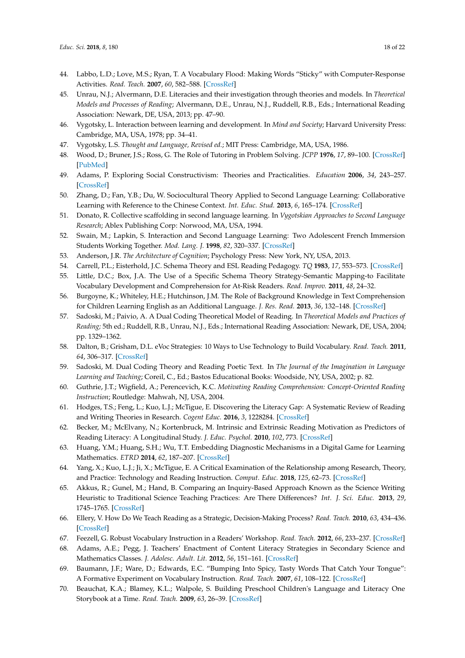- <span id="page-17-29"></span><span id="page-17-0"></span>44. Labbo, L.D.; Love, M.S.; Ryan, T. A Vocabulary Flood: Making Words "Sticky" with Computer-Response Activities. *Read. Teach.* **2007**, *60*, 582–588. [\[CrossRef\]](http://dx.doi.org/10.1598/RT.60.6.10)
- <span id="page-17-1"></span>45. Unrau, N.J.; Alvermann, D.E. Literacies and their investigation through theories and models. In *Theoretical Models and Processes of Reading*; Alvermann, D.E., Unrau, N.J., Ruddell, R.B., Eds.; International Reading Association: Newark, DE, USA, 2013; pp. 47–90.
- <span id="page-17-2"></span>46. Vygotsky, L. Interaction between learning and development. In *Mind and Society*; Harvard University Press: Cambridge, MA, USA, 1978; pp. 34–41.
- <span id="page-17-3"></span>47. Vygotsky, L.S. *Thought and Language, Revised ed.*; MIT Press: Cambridge, MA, USA, 1986.
- <span id="page-17-4"></span>48. Wood, D.; Bruner, J.S.; Ross, G. The Role of Tutoring in Problem Solving. *JCPP* **1976**, *17*, 89–100. [\[CrossRef\]](http://dx.doi.org/10.1111/j.1469-7610.1976.tb00381.x) [\[PubMed\]](http://www.ncbi.nlm.nih.gov/pubmed/932126)
- <span id="page-17-5"></span>49. Adams, P. Exploring Social Constructivism: Theories and Practicalities. *Education* **2006**, *34*, 243–257. [\[CrossRef\]](http://dx.doi.org/10.1080/03004270600898893)
- <span id="page-17-6"></span>50. Zhang, D.; Fan, Y.B.; Du, W. Sociocultural Theory Applied to Second Language Learning: Collaborative Learning with Reference to the Chinese Context. *Int. Educ. Stud.* **2013**, *6*, 165–174. [\[CrossRef\]](http://dx.doi.org/10.5539/ies.v6n9p165)
- <span id="page-17-7"></span>51. Donato, R. Collective scaffolding in second language learning. In *Vygotskian Approaches to Second Language Research*; Ablex Publishing Corp: Norwood, MA, USA, 1994.
- <span id="page-17-8"></span>52. Swain, M.; Lapkin, S. Interaction and Second Language Learning: Two Adolescent French Immersion Students Working Together. *Mod. Lang. J.* **1998**, *82*, 320–337. [\[CrossRef\]](http://dx.doi.org/10.1111/j.1540-4781.1998.tb01209.x)
- <span id="page-17-10"></span><span id="page-17-9"></span>53. Anderson, J.R. *The Architecture of Cognition*; Psychology Press: New York, NY, USA, 2013.
- 54. Carrell, P.L.; Eisterhold, J.C. Schema Theory and ESL Reading Pedagogy. *TQ* **1983**, *17*, 553–573. [\[CrossRef\]](http://dx.doi.org/10.2307/3586613)
- <span id="page-17-11"></span>55. Little, D.C.; Box, J.A. The Use of a Specific Schema Theory Strategy-Semantic Mapping-to Facilitate Vocabulary Development and Comprehension for At-Risk Readers. *Read. Improv.* **2011**, *48*, 24–32.
- <span id="page-17-12"></span>56. Burgoyne, K.; Whiteley, H.E.; Hutchinson, J.M. The Role of Background Knowledge in Text Comprehension for Children Learning English as an Additional Language. *J. Res. Read.* **2013**, *36*, 132–148. [\[CrossRef\]](http://dx.doi.org/10.1111/j.1467-9817.2011.01493.x)
- <span id="page-17-27"></span><span id="page-17-13"></span>57. Sadoski, M.; Paivio, A. A Dual Coding Theoretical Model of Reading. In *Theoretical Models and Practices of Reading;* 5th ed.; Ruddell, R.B., Unrau, N.J., Eds.; International Reading Association: Newark, DE, USA, 2004; pp. 1329–1362.
- <span id="page-17-28"></span><span id="page-17-24"></span><span id="page-17-14"></span>58. Dalton, B.; Grisham, D.L. eVoc Strategies: 10 Ways to Use Technology to Build Vocabulary. *Read. Teach.* **2011**, *64*, 306–317. [\[CrossRef\]](http://dx.doi.org/10.1598/RT.64.5.1)
- <span id="page-17-25"></span><span id="page-17-15"></span>59. Sadoski, M. Dual Coding Theory and Reading Poetic Text. In *The Journal of the Imagination in Language Learning and Teaching*; Coreil, C., Ed.; Bastos Educational Books: Woodside, NY, USA, 2002; p. 82.
- <span id="page-17-26"></span><span id="page-17-16"></span>60. Guthrie, J.T.; Wigfield, A.; Perencevich, K.C. *Motivating Reading Comprehension: Concept-Oriented Reading Instruction*; Routledge: Mahwah, NJ, USA, 2004.
- <span id="page-17-17"></span>61. Hodges, T.S.; Feng, L.; Kuo, L.J.; McTigue, E. Discovering the Literacy Gap: A Systematic Review of Reading and Writing Theories in Research. *Cogent Educ.* **2016**, *3*, 1228284. [\[CrossRef\]](http://dx.doi.org/10.1080/2331186X.2016.1228284)
- <span id="page-17-18"></span>62. Becker, M.; McElvany, N.; Kortenbruck, M. Intrinsic and Extrinsic Reading Motivation as Predictors of Reading Literacy: A Longitudinal Study. *J. Educ. Psychol.* **2010**, *102*, 773. [\[CrossRef\]](http://dx.doi.org/10.1037/a0020084)
- <span id="page-17-19"></span>63. Huang, Y.M.; Huang, S.H.; Wu, T.T. Embedding Diagnostic Mechanisms in a Digital Game for Learning Mathematics. *ETRD* **2014**, *62*, 187–207. [\[CrossRef\]](http://dx.doi.org/10.1007/s11423-013-9315-4)
- <span id="page-17-20"></span>64. Yang, X.; Kuo, L.J.; Ji, X.; McTigue, E. A Critical Examination of the Relationship among Research, Theory, and Practice: Technology and Reading Instruction. *Comput. Educ.* **2018**, *125*, 62–73. [\[CrossRef\]](http://dx.doi.org/10.1016/j.compedu.2018.03.009)
- <span id="page-17-21"></span>65. Akkus, R.; Gunel, M.; Hand, B. Comparing an Inquiry-Based Approach Known as the Science Writing Heuristic to Traditional Science Teaching Practices: Are There Differences? *Int. J. Sci. Educ.* **2013**, *29*, 1745–1765. [\[CrossRef\]](http://dx.doi.org/10.1080/09500690601075629)
- <span id="page-17-22"></span>66. Ellery, V. How Do We Teach Reading as a Strategic, Decision-Making Process? *Read. Teach.* **2010**, *63*, 434–436. [\[CrossRef\]](http://dx.doi.org/10.1598/RT.63.5.10)
- <span id="page-17-23"></span>67. Feezell, G. Robust Vocabulary Instruction in a Readers' Workshop. *Read. Teach.* **2012**, *66*, 233–237. [\[CrossRef\]](http://dx.doi.org/10.1002/TRTR.01087)
- <span id="page-17-31"></span>68. Adams, A.E.; Pegg, J. Teachers' Enactment of Content Literacy Strategies in Secondary Science and Mathematics Classes. *J. Adolesc. Adult. Lit.* **2012**, *56*, 151–161. [\[CrossRef\]](http://dx.doi.org/10.1002/JAAL.00116)
- <span id="page-17-30"></span>69. Baumann, J.F.; Ware, D.; Edwards, E.C. "Bumping Into Spicy, Tasty Words That Catch Your Tongue": A Formative Experiment on Vocabulary Instruction. *Read. Teach.* **2007**, *61*, 108–122. [\[CrossRef\]](http://dx.doi.org/10.1598/RT.61.2.1)
- 70. Beauchat, K.A.; Blamey, K.L.; Walpole, S. Building Preschool Children's Language and Literacy One Storybook at a Time. *Read. Teach.* **2009**, *63*, 26–39. [\[CrossRef\]](http://dx.doi.org/10.1598/RT.63.1.3)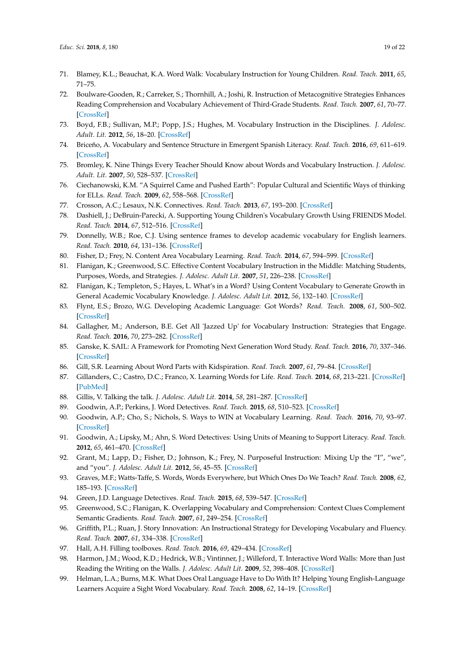- <span id="page-18-10"></span><span id="page-18-9"></span><span id="page-18-8"></span><span id="page-18-7"></span><span id="page-18-6"></span><span id="page-18-5"></span><span id="page-18-4"></span><span id="page-18-3"></span><span id="page-18-2"></span><span id="page-18-1"></span><span id="page-18-0"></span>71. Blamey, K.L.; Beauchat, K.A. Word Walk: Vocabulary Instruction for Young Children. *Read. Teach.* **2011**, *65*, 71–75.
- <span id="page-18-11"></span>72. Boulware-Gooden, R.; Carreker, S.; Thornhill, A.; Joshi, R. Instruction of Metacognitive Strategies Enhances Reading Comprehension and Vocabulary Achievement of Third-Grade Students. *Read. Teach.* **2007**, *61*, 70–77. [\[CrossRef\]](http://dx.doi.org/10.1598/RT.61.1.7)
- <span id="page-18-13"></span><span id="page-18-12"></span>73. Boyd, F.B.; Sullivan, M.P.; Popp, J.S.; Hughes, M. Vocabulary Instruction in the Disciplines. *J. Adolesc. Adult. Lit.* **2012**, *56*, 18–20. [\[CrossRef\]](http://dx.doi.org/10.1002/JAAL.00097)
- <span id="page-18-29"></span><span id="page-18-14"></span>74. Briceño, A. Vocabulary and Sentence Structure in Emergent Spanish Literacy. *Read. Teach.* **2016**, *69*, 611–619. [\[CrossRef\]](http://dx.doi.org/10.1002/trtr.1417)
- <span id="page-18-15"></span>75. Bromley, K. Nine Things Every Teacher Should Know about Words and Vocabulary Instruction. *J. Adolesc. Adult. Lit.* **2007**, *50*, 528–537. [\[CrossRef\]](http://dx.doi.org/10.1598/JAAL.50.7.2)
- <span id="page-18-33"></span><span id="page-18-16"></span>76. Ciechanowski, K.M. "A Squirrel Came and Pushed Earth": Popular Cultural and Scientific Ways of thinking for ELLs. *Read. Teach.* **2009**, *62*, 558–568. [\[CrossRef\]](http://dx.doi.org/10.1598/RT.62.7.2)
- <span id="page-18-17"></span>77. Crosson, A.C.; Lesaux, N.K. Connectives. *Read. Teach.* **2013**, *67*, 193–200. [\[CrossRef\]](http://dx.doi.org/10.1002/TRTR.1197)
- <span id="page-18-30"></span><span id="page-18-19"></span><span id="page-18-18"></span>78. Dashiell, J.; DeBruin-Parecki, A. Supporting Young Children's Vocabulary Growth Using FRIENDS Model. *Read. Teach.* **2014**, *67*, 512–516. [\[CrossRef\]](http://dx.doi.org/10.1002/trtr.1250)
- <span id="page-18-34"></span><span id="page-18-20"></span>79. Donnelly, W.B.; Roe, C.J. Using sentence frames to develop academic vocabulary for English learners. *Read. Teach.* **2010**, *64*, 131–136. [\[CrossRef\]](http://dx.doi.org/10.1598/RT.64.2.5)
- <span id="page-18-31"></span><span id="page-18-21"></span>80. Fisher, D.; Frey, N. Content Area Vocabulary Learning. *Read. Teach.* **2014**, *67*, 594–599. [\[CrossRef\]](http://dx.doi.org/10.1002/trtr.1258)
- 81. Flanigan, K.; Greenwood, S.C. Effective Content Vocabulary Instruction in the Middle: Matching Students, Purposes, Words, and Strategies. *J. Adolesc. Adult Lit.* **2007**, *51*, 226–238. [\[CrossRef\]](http://dx.doi.org/10.1598/JAAL.51.3.3)
- <span id="page-18-22"></span>82. Flanigan, K.; Templeton, S.; Hayes, L. What's in a Word? Using Content Vocabulary to Generate Growth in General Academic Vocabulary Knowledge. *J. Adolesc. Adult Lit.* **2012**, *56*, 132–140. [\[CrossRef\]](http://dx.doi.org/10.1002/JAAL.00114)
- <span id="page-18-24"></span><span id="page-18-23"></span>83. Flynt, E.S.; Brozo, W.G. Developing Academic Language: Got Words? *Read. Teach.* **2008**, *61*, 500–502. [\[CrossRef\]](http://dx.doi.org/10.1598/RT.61.6.9)
- <span id="page-18-25"></span>84. Gallagher, M.; Anderson, B.E. Get All 'Jazzed Up' for Vocabulary Instruction: Strategies that Engage. *Read. Teach.* **2016**, *70*, 273–282. [\[CrossRef\]](http://dx.doi.org/10.1002/trtr.1498)
- <span id="page-18-26"></span>85. Ganske, K. SAIL: A Framework for Promoting Next Generation Word Study. *Read. Teach.* **2016**, *70*, 337–346. [\[CrossRef\]](http://dx.doi.org/10.1002/trtr.1529)
- <span id="page-18-27"></span>86. Gill, S.R. Learning About Word Parts with Kidspiration. *Read. Teach.* **2007**, *61*, 79–84. [\[CrossRef\]](http://dx.doi.org/10.1598/RT.61.1.8)
- <span id="page-18-28"></span>87. Gillanders, C.; Castro, D.C.; Franco, X. Learning Words for Life. *Read. Teach.* **2014**, *68*, 213–221. [\[CrossRef\]](http://dx.doi.org/10.1002/trtr.1291) [\[PubMed\]](http://www.ncbi.nlm.nih.gov/pubmed/26500378)
- 88. Gillis, V. Talking the talk. *J. Adolesc. Adult Lit.* **2014**, *58*, 281–287. [\[CrossRef\]](http://dx.doi.org/10.1002/jaal.356)
- 89. Goodwin, A.P.; Perkins, J. Word Detectives. *Read. Teach.* **2015**, *68*, 510–523. [\[CrossRef\]](http://dx.doi.org/10.1002/trtr.1342)
- 90. Goodwin, A.P.; Cho, S.; Nichols, S. Ways to WIN at Vocabulary Learning. *Read. Teach.* **2016**, *70*, 93–97. [\[CrossRef\]](http://dx.doi.org/10.1002/trtr.1471)
- 91. Goodwin, A.; Lipsky, M.; Ahn, S. Word Detectives: Using Units of Meaning to Support Literacy. *Read. Teach.* **2012**, *65*, 461–470. [\[CrossRef\]](http://dx.doi.org/10.1002/TRTR.01069)
- <span id="page-18-32"></span>92. Grant, M.; Lapp, D.; Fisher, D.; Johnson, K.; Frey, N. Purposeful Instruction: Mixing Up the "I", "we", and "you". *J. Adolesc. Adult Lit.* **2012**, *56*, 45–55. [\[CrossRef\]](http://dx.doi.org/10.1002/JAAL.00101)
- 93. Graves, M.F.; Watts-Taffe, S. Words, Words Everywhere, but Which Ones Do We Teach? *Read. Teach.* **2008**, *62*, 185–193. [\[CrossRef\]](http://dx.doi.org/10.1598/RT.62.3.1)
- 94. Green, J.D. Language Detectives. *Read. Teach.* **2015**, *68*, 539–547. [\[CrossRef\]](http://dx.doi.org/10.1002/trtr.1350)
- 95. Greenwood, S.C.; Flanigan, K. Overlapping Vocabulary and Comprehension: Context Clues Complement Semantic Gradients. *Read. Teach.* **2007**, *61*, 249–254. [\[CrossRef\]](http://dx.doi.org/10.1598/RT.61.3.5)
- 96. Griffith, P.L.; Ruan, J. Story Innovation: An Instructional Strategy for Developing Vocabulary and Fluency. *Read. Teach.* **2007**, *61*, 334–338. [\[CrossRef\]](http://dx.doi.org/10.1598/RT.61.4.6)
- <span id="page-18-35"></span>97. Hall, A.H. Filling toolboxes. *Read. Teach.* **2016**, *69*, 429–434. [\[CrossRef\]](http://dx.doi.org/10.1002/trtr.1427)
- 98. Harmon, J.M.; Wood, K.D.; Hedrick, W.B.; Vintinner, J.; Willeford, T. Interactive Word Walls: More than Just Reading the Writing on the Walls. *J. Adolesc. Adult Lit.* **2009**, *52*, 398–408. [\[CrossRef\]](http://dx.doi.org/10.1598/JAAL.52.5.4)
- 99. Helman, L.A.; Burns, M.K. What Does Oral Language Have to Do With It? Helping Young English-Language Learners Acquire a Sight Word Vocabulary. *Read. Teach.* **2008**, *62*, 14–19. [\[CrossRef\]](http://dx.doi.org/10.1598/RT.62.1.2)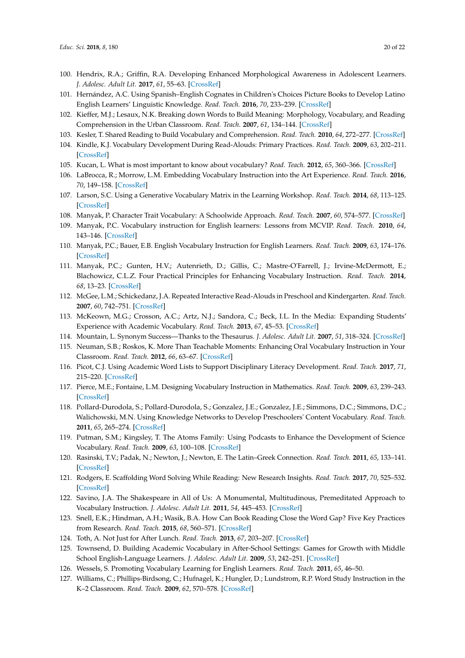- <span id="page-19-11"></span><span id="page-19-10"></span><span id="page-19-9"></span><span id="page-19-8"></span><span id="page-19-7"></span><span id="page-19-6"></span><span id="page-19-5"></span><span id="page-19-4"></span><span id="page-19-3"></span><span id="page-19-2"></span><span id="page-19-1"></span><span id="page-19-0"></span>100. Hendrix, R.A.; Griffin, R.A. Developing Enhanced Morphological Awareness in Adolescent Learners. *J. Adolesc. Adult Lit.* **2017**, *61*, 55–63. [\[CrossRef\]](http://dx.doi.org/10.1002/jaal.642)
- <span id="page-19-12"></span>101. Hernández, A.C. Using Spanish–English Cognates in Children's Choices Picture Books to Develop Latino English Learners' Linguistic Knowledge. *Read. Teach.* **2016**, *70*, 233–239. [\[CrossRef\]](http://dx.doi.org/10.1002/trtr.1511)
- <span id="page-19-34"></span><span id="page-19-13"></span>102. Kieffer, M.J.; Lesaux, N.K. Breaking down Words to Build Meaning: Morphology, Vocabulary, and Reading Comprehension in the Urban Classroom. *Read. Teach.* **2007**, *61*, 134–144. [\[CrossRef\]](http://dx.doi.org/10.1598/RT.61.2.3)
- 103. Kesler, T. Shared Reading to Build Vocabulary and Comprehension. *Read. Teach.* **2010**, *64*, 272–277. [\[CrossRef\]](http://dx.doi.org/10.1598/RT.64.4.5)
- <span id="page-19-15"></span><span id="page-19-14"></span>104. Kindle, K.J. Vocabulary Development During Read-Alouds: Primary Practices. *Read. Teach.* **2009**, *63*, 202–211. [\[CrossRef\]](http://dx.doi.org/10.1598/RT.63.3.3)
- <span id="page-19-16"></span>105. Kucan, L. What is most important to know about vocabulary? *Read. Teach.* **2012**, *65*, 360–366. [\[CrossRef\]](http://dx.doi.org/10.1002/TRTR.01054)
- <span id="page-19-30"></span>106. LaBrocca, R.; Morrow, L.M. Embedding Vocabulary Instruction into the Art Experience. *Read. Teach.* **2016**, *70*, 149–158. [\[CrossRef\]](http://dx.doi.org/10.1002/trtr.1488)
- <span id="page-19-28"></span><span id="page-19-17"></span>107. Larson, S.C. Using a Generative Vocabulary Matrix in the Learning Workshop. *Read. Teach.* **2014**, *68*, 113–125. [\[CrossRef\]](http://dx.doi.org/10.1002/trtr.1281)
- <span id="page-19-18"></span>108. Manyak, P. Character Trait Vocabulary: A Schoolwide Approach. *Read. Teach.* **2007**, *60*, 574–577. [\[CrossRef\]](http://dx.doi.org/10.1598/RT.60.6.8)
- <span id="page-19-29"></span>109. Manyak, P.C. Vocabulary instruction for English learners: Lessons from MCVIP. *Read. Teach.* **2010**, *64*, 143–146. [\[CrossRef\]](http://dx.doi.org/10.1598/RT.64.2.10)
- <span id="page-19-19"></span>110. Manyak, P.C.; Bauer, E.B. English Vocabulary Instruction for English Learners. *Read. Teach.* **2009**, *63*, 174–176. [\[CrossRef\]](http://dx.doi.org/10.1598/RT.63.2.11)
- <span id="page-19-20"></span>111. Manyak, P.C.; Gunten, H.V.; Autenrieth, D.; Gillis, C.; Mastre-O'Farrell, J.; Irvine-McDermott, E.; Blachowicz, C.L.Z. Four Practical Principles for Enhancing Vocabulary Instruction. *Read. Teach.* **2014**, *68*, 13–23. [\[CrossRef\]](http://dx.doi.org/10.1002/trtr.1299)
- <span id="page-19-22"></span><span id="page-19-21"></span>112. McGee, L.M.; Schickedanz, J.A. Repeated Interactive Read-Alouds in Preschool and Kindergarten. *Read. Teach.* **2007**, *60*, 742–751. [\[CrossRef\]](http://dx.doi.org/10.1598/RT.60.8.4)
- <span id="page-19-23"></span>113. McKeown, M.G.; Crosson, A.C.; Artz, N.J.; Sandora, C.; Beck, I.L. In the Media: Expanding Students' Experience with Academic Vocabulary. *Read. Teach.* **2013**, *67*, 45–53. [\[CrossRef\]](http://dx.doi.org/10.1002/TRTR.1179)
- <span id="page-19-31"></span>114. Mountain, L. Synonym Success—Thanks to the Thesaurus. *J. Adolesc. Adult Lit.* **2007**, *51*, 318–324. [\[CrossRef\]](http://dx.doi.org/10.1598/JAAL.51.4.3)
- <span id="page-19-25"></span><span id="page-19-24"></span>115. Neuman, S.B.; Roskos, K. More Than Teachable Moments: Enhancing Oral Vocabulary Instruction in Your Classroom. *Read. Teach.* **2012**, *66*, 63–67. [\[CrossRef\]](http://dx.doi.org/10.1002/TRTR.01104)
- <span id="page-19-26"></span>116. Picot, C.J. Using Academic Word Lists to Support Disciplinary Literacy Development. *Read. Teach.* **2017**, *71*, 215–220. [\[CrossRef\]](http://dx.doi.org/10.1002/trtr.1593)
- <span id="page-19-27"></span>117. Pierce, M.E.; Fontaine, L.M. Designing Vocabulary Instruction in Mathematics. *Read. Teach.* **2009**, *63*, 239–243. [\[CrossRef\]](http://dx.doi.org/10.1598/RT.63.3.7)
- 118. Pollard-Durodola, S.; Pollard-Durodola, S.; Gonzalez, J.E.; Gonzalez, J.E.; Simmons, D.C.; Simmons, D.C.; Walichowski, M.N. Using Knowledge Networks to Develop Preschoolers' Content Vocabulary. *Read. Teach.* **2011**, *65*, 265–274. [\[CrossRef\]](http://dx.doi.org/10.1002/TRTR.01035)
- 119. Putman, S.M.; Kingsley, T. The Atoms Family: Using Podcasts to Enhance the Development of Science Vocabulary. *Read. Teach.* **2009**, *63*, 100–108. [\[CrossRef\]](http://dx.doi.org/10.1598/RT.63.2.1)
- 120. Rasinski, T.V.; Padak, N.; Newton, J.; Newton, E. The Latin–Greek Connection. *Read. Teach.* **2011**, *65*, 133–141. [\[CrossRef\]](http://dx.doi.org/10.1002/TRTR.01015)
- 121. Rodgers, E. Scaffolding Word Solving While Reading: New Research Insights. *Read. Teach.* **2017**, *70*, 525–532. [\[CrossRef\]](http://dx.doi.org/10.1002/trtr.1548)
- <span id="page-19-32"></span>122. Savino, J.A. The Shakespeare in All of Us: A Monumental, Multitudinous, Premeditated Approach to Vocabulary Instruction. *J. Adolesc. Adult Lit.* **2011**, *54*, 445–453. [\[CrossRef\]](http://dx.doi.org/10.1598/JAAL.54.6.6)
- 123. Snell, E.K.; Hindman, A.H.; Wasik, B.A. How Can Book Reading Close the Word Gap? Five Key Practices from Research. *Read. Teach.* **2015**, *68*, 560–571. [\[CrossRef\]](http://dx.doi.org/10.1002/trtr.1347)
- 124. Toth, A. Not Just for After Lunch. *Read. Teach.* **2013**, *67*, 203–207. [\[CrossRef\]](http://dx.doi.org/10.1002/TRTR.1193)
- <span id="page-19-33"></span>125. Townsend, D. Building Academic Vocabulary in After-School Settings: Games for Growth with Middle School English-Language Learners. *J. Adolesc. Adult Lit.* **2009**, *53*, 242–251. [\[CrossRef\]](http://dx.doi.org/10.1598/JAAL.53.3.5)
- 126. Wessels, S. Promoting Vocabulary Learning for English Learners. *Read. Teach.* **2011**, *65*, 46–50.
- 127. Williams, C.; Phillips-Birdsong, C.; Hufnagel, K.; Hungler, D.; Lundstrom, R.P. Word Study Instruction in the K–2 Classroom. *Read. Teach.* **2009**, *62*, 570–578. [\[CrossRef\]](http://dx.doi.org/10.1598/RT.62.7.3)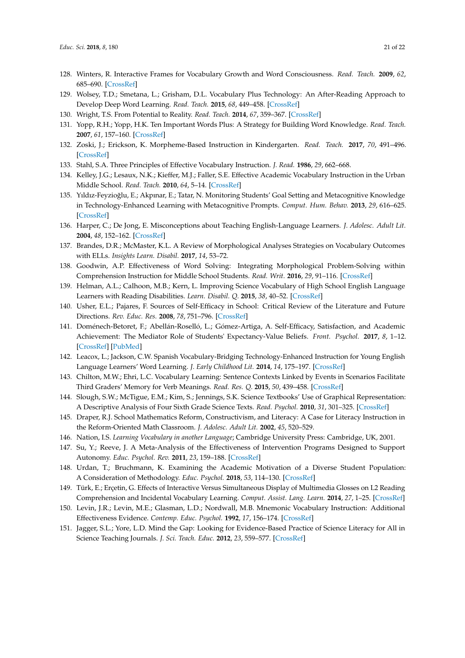- <span id="page-20-4"></span><span id="page-20-3"></span><span id="page-20-2"></span><span id="page-20-1"></span><span id="page-20-0"></span>128. Winters, R. Interactive Frames for Vocabulary Growth and Word Consciousness. *Read. Teach.* **2009**, *62*, 685–690. [\[CrossRef\]](http://dx.doi.org/10.1598/RT.62.8.6)
- <span id="page-20-7"></span>129. Wolsey, T.D.; Smetana, L.; Grisham, D.L. Vocabulary Plus Technology: An After-Reading Approach to Develop Deep Word Learning. *Read. Teach.* **2015**, *68*, 449–458. [\[CrossRef\]](http://dx.doi.org/10.1002/trtr.1331)
- 130. Wright, T.S. From Potential to Reality. *Read. Teach.* **2014**, *67*, 359–367. [\[CrossRef\]](http://dx.doi.org/10.1002/trtr.1222)
- 131. Yopp, R.H.; Yopp, H.K. Ten Important Words Plus: A Strategy for Building Word Knowledge. *Read. Teach.* **2007**, *61*, 157–160. [\[CrossRef\]](http://dx.doi.org/10.1598/RT.61.2.5)
- 132. Zoski, J.; Erickson, K. Morpheme-Based Instruction in Kindergarten. *Read. Teach.* **2017**, *70*, 491–496. [\[CrossRef\]](http://dx.doi.org/10.1002/trtr.1542)
- <span id="page-20-5"></span>133. Stahl, S.A. Three Principles of Effective Vocabulary Instruction. *J. Read.* **1986**, *29*, 662–668.
- <span id="page-20-6"></span>134. Kelley, J.G.; Lesaux, N.K.; Kieffer, M.J.; Faller, S.E. Effective Academic Vocabulary Instruction in the Urban Middle School. *Read. Teach.* **2010**, *64*, 5–14. [\[CrossRef\]](http://dx.doi.org/10.1598/RT.64.1.1)
- <span id="page-20-8"></span>135. Yıldız-Feyzioğlu, E.; Akpınar, E.; Tatar, N. Monitoring Students' Goal Setting and Metacognitive Knowledge in Technology-Enhanced Learning with Metacognitive Prompts. *Comput. Hum. Behav.* **2013**, *29*, 616–625. [\[CrossRef\]](http://dx.doi.org/10.1016/j.chb.2012.11.019)
- <span id="page-20-9"></span>136. Harper, C.; De Jong, E. Misconceptions about Teaching English-Language Learners. *J. Adolesc. Adult Lit.* **2004**, *48*, 152–162. [\[CrossRef\]](http://dx.doi.org/10.1598/JAAL.48.2.6)
- <span id="page-20-10"></span>137. Brandes, D.R.; McMaster, K.L. A Review of Morphological Analyses Strategies on Vocabulary Outcomes with ELLs. *Insights Learn. Disabil.* **2017**, *14*, 53–72.
- 138. Goodwin, A.P. Effectiveness of Word Solving: Integrating Morphological Problem-Solving within Comprehension Instruction for Middle School Students. *Read. Writ.* **2016**, *29*, 91–116. [\[CrossRef\]](http://dx.doi.org/10.1007/s11145-015-9581-0)
- <span id="page-20-11"></span>139. Helman, A.L.; Calhoon, M.B.; Kern, L. Improving Science Vocabulary of High School English Language Learners with Reading Disabilities. *Learn. Disabil. Q.* **2015**, *38*, 40–52. [\[CrossRef\]](http://dx.doi.org/10.1177/0731948714539769)
- <span id="page-20-12"></span>140. Usher, E.L.; Pajares, F. Sources of Self-Efficacy in School: Critical Review of the Literature and Future Directions. *Rev. Educ. Res.* **2008**, *78*, 751–796. [\[CrossRef\]](http://dx.doi.org/10.3102/0034654308321456)
- <span id="page-20-13"></span>141. Doménech-Betoret, F.; Abellán-Roselló, L.; Gómez-Artiga, A. Self-Efficacy, Satisfaction, and Academic Achievement: The Mediator Role of Students' Expectancy-Value Beliefs. *Front. Psychol.* **2017**, *8*, 1–12. [\[CrossRef\]](http://dx.doi.org/10.3389/fpsyg.2017.01193) [\[PubMed\]](http://www.ncbi.nlm.nih.gov/pubmed/28769839)
- <span id="page-20-14"></span>142. Leacox, L.; Jackson, C.W. Spanish Vocabulary-Bridging Technology-Enhanced Instruction for Young English Language Learners' Word Learning. *J. Early Childhood Lit.* **2014**, *14*, 175–197. [\[CrossRef\]](http://dx.doi.org/10.1177/1468798412458518)
- <span id="page-20-15"></span>143. Chilton, M.W.; Ehri, L.C. Vocabulary Learning: Sentence Contexts Linked by Events in Scenarios Facilitate Third Graders' Memory for Verb Meanings. *Read. Res. Q.* **2015**, *50*, 439–458. [\[CrossRef\]](http://dx.doi.org/10.1002/rrq.106)
- <span id="page-20-16"></span>144. Slough, S.W.; McTigue, E.M.; Kim, S.; Jennings, S.K. Science Textbooks' Use of Graphical Representation: A Descriptive Analysis of Four Sixth Grade Science Texts. *Read. Psychol.* **2010**, *31*, 301–325. [\[CrossRef\]](http://dx.doi.org/10.1080/02702710903256502)
- <span id="page-20-17"></span>145. Draper, R.J. School Mathematics Reform, Constructivism, and Literacy: A Case for Literacy Instruction in the Reform-Oriented Math Classroom. *J. Adolesc. Adult Lit.* **2002**, *45*, 520–529.
- <span id="page-20-18"></span>146. Nation, I.S. *Learning Vocabulary in another Language*; Cambridge University Press: Cambridge, UK, 2001.
- <span id="page-20-19"></span>147. Su, Y.; Reeve, J. A Meta-Analysis of the Effectiveness of Intervention Programs Designed to Support Autonomy. *Educ. Psychol. Rev.* **2011**, *23*, 159–188. [\[CrossRef\]](http://dx.doi.org/10.1007/s10648-010-9142-7)
- <span id="page-20-20"></span>148. Urdan, T.; Bruchmann, K. Examining the Academic Motivation of a Diverse Student Population: A Consideration of Methodology. *Educ. Psychol.* **2018**, *53*, 114–130. [\[CrossRef\]](http://dx.doi.org/10.1080/00461520.2018.1440234)
- <span id="page-20-21"></span>149. Türk, E.; Erçetin, G. Effects of Interactive Versus Simultaneous Display of Multimedia Glosses on L2 Reading Comprehension and Incidental Vocabulary Learning. *Comput. Assist. Lang. Learn.* **2014**, *27*, 1–25. [\[CrossRef\]](http://dx.doi.org/10.1080/09588221.2012.692384)
- <span id="page-20-22"></span>150. Levin, J.R.; Levin, M.E.; Glasman, L.D.; Nordwall, M.B. Mnemonic Vocabulary Instruction: Additional Effectiveness Evidence. *Contemp. Educ. Psychol.* **1992**, *17*, 156–174. [\[CrossRef\]](http://dx.doi.org/10.1016/0361-476X(92)90056-5)
- <span id="page-20-23"></span>151. Jagger, S.L.; Yore, L.D. Mind the Gap: Looking for Evidence-Based Practice of Science Literacy for All in Science Teaching Journals. *J. Sci. Teach. Educ.* **2012**, *23*, 559–577. [\[CrossRef\]](http://dx.doi.org/10.1007/s10972-012-9271-6)